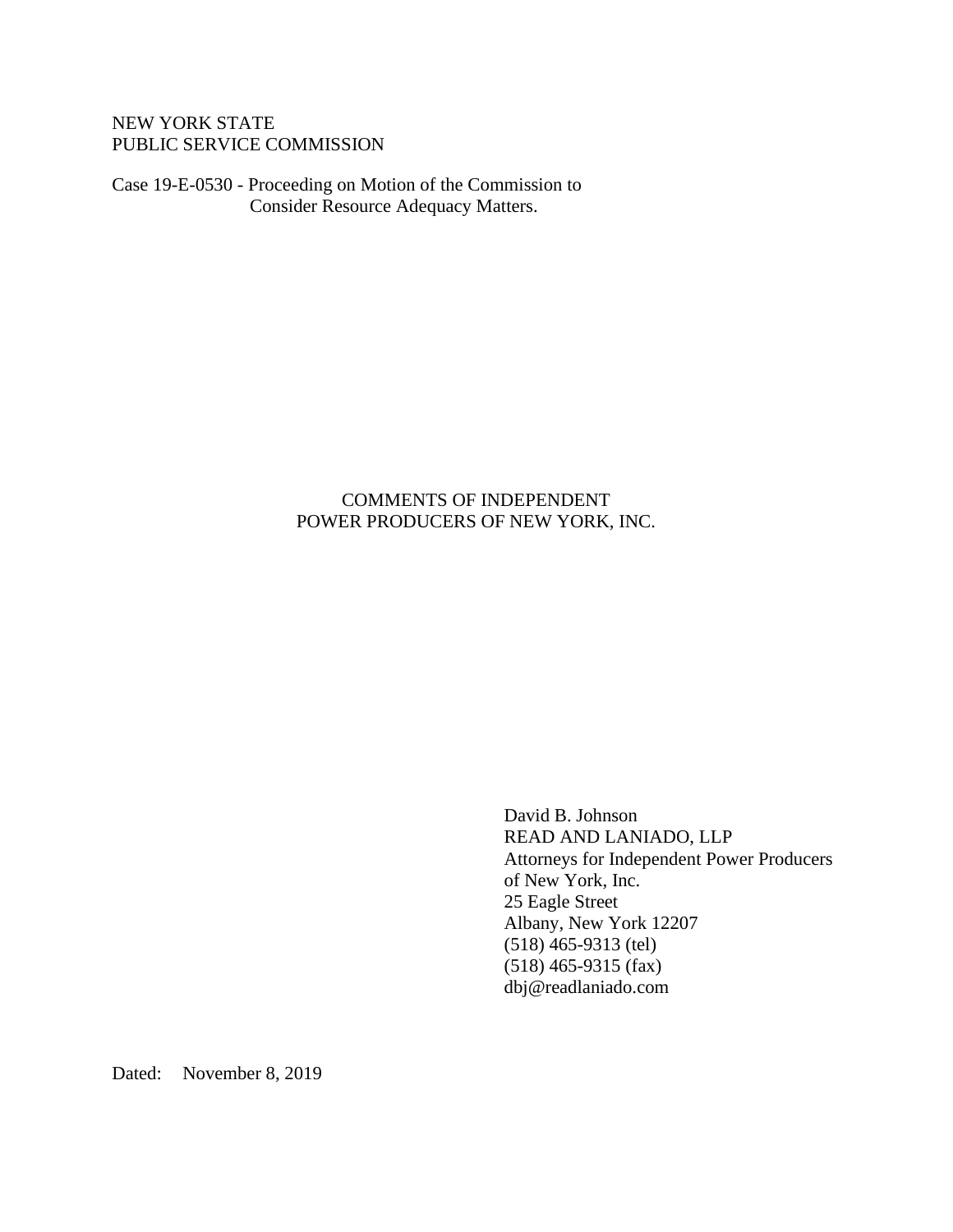### NEW YORK STATE PUBLIC SERVICE COMMISSION

Case 19-E-0530 - Proceeding on Motion of the Commission to Consider Resource Adequacy Matters.

## COMMENTS OF INDEPENDENT POWER PRODUCERS OF NEW YORK, INC.

David B. Johnson READ AND LANIADO, LLP Attorneys for Independent Power Producers of New York, Inc. 25 Eagle Street Albany, New York 12207 (518) 465-9313 (tel) (518) 465-9315 (fax) dbj@readlaniado.com

Dated: November 8, 2019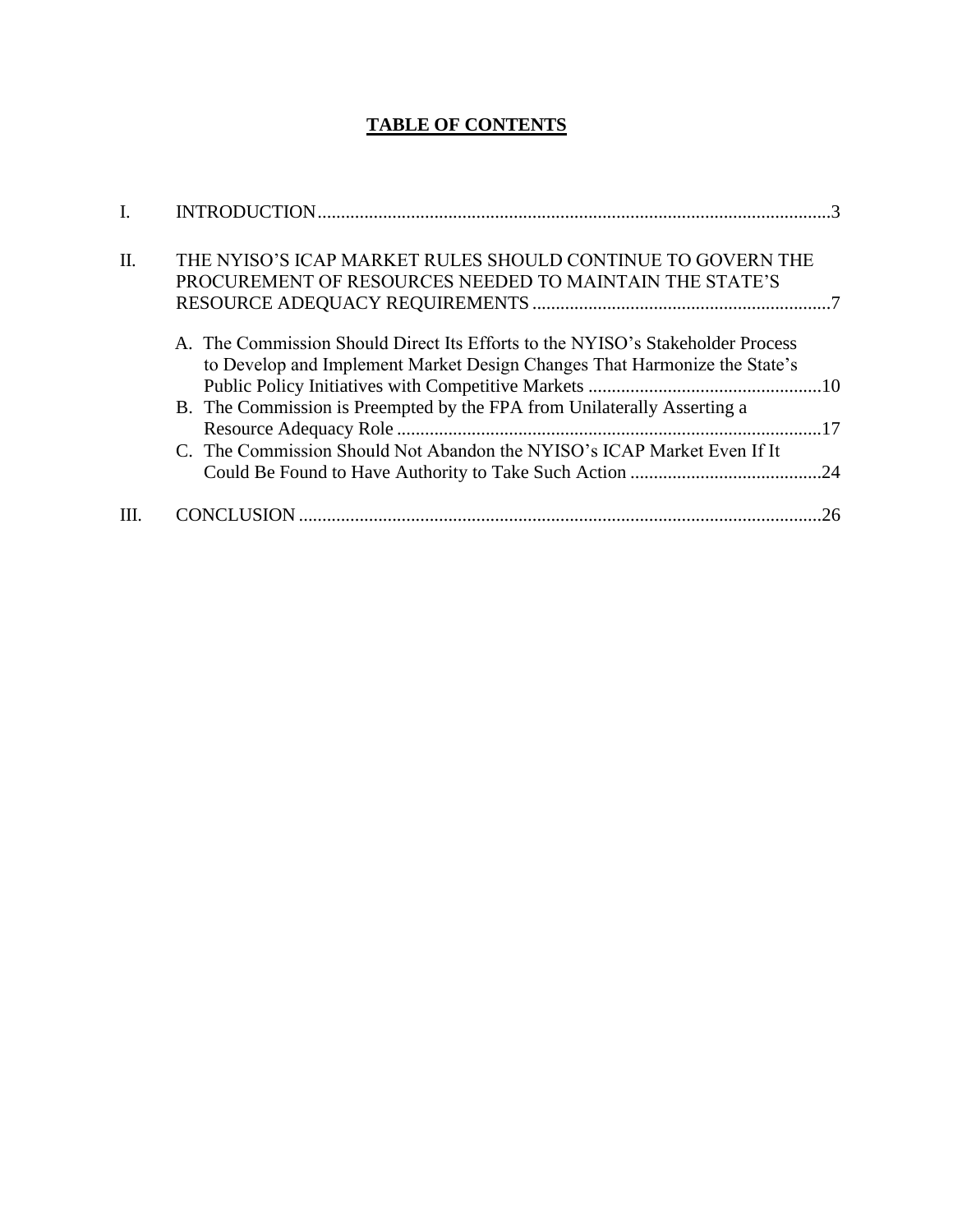# **TABLE OF CONTENTS**

| Π. | THE NYISO'S ICAP MARKET RULES SHOULD CONTINUE TO GOVERN THE<br>PROCUREMENT OF RESOURCES NEEDED TO MAINTAIN THE STATE'S                                                                                                                                                                                            |
|----|-------------------------------------------------------------------------------------------------------------------------------------------------------------------------------------------------------------------------------------------------------------------------------------------------------------------|
|    | A. The Commission Should Direct Its Efforts to the NYISO's Stakeholder Process<br>to Develop and Implement Market Design Changes That Harmonize the State's<br>B. The Commission is Preempted by the FPA from Unilaterally Asserting a<br>C. The Commission Should Not Abandon the NYISO's ICAP Market Even If It |
|    | 26                                                                                                                                                                                                                                                                                                                |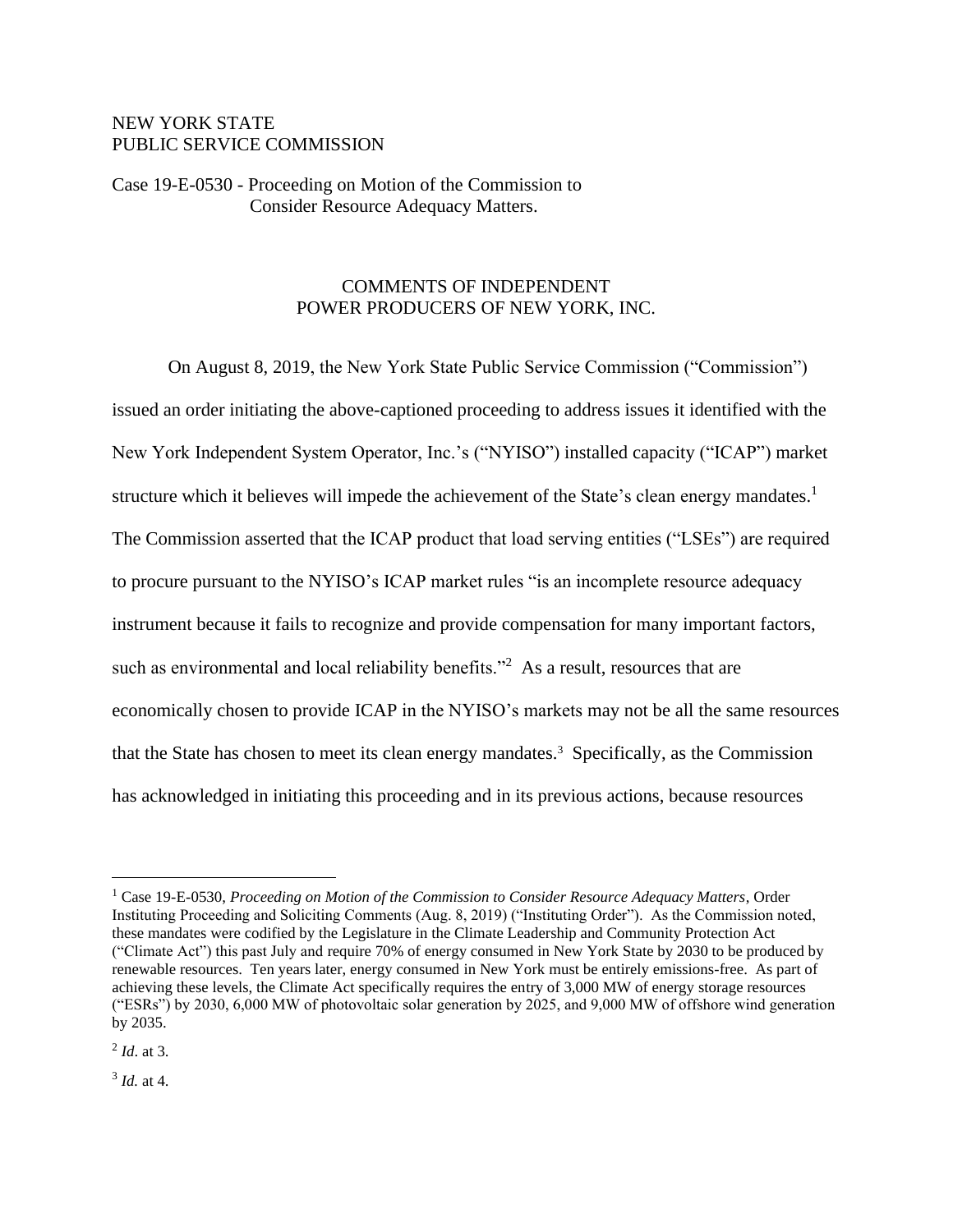### NEW YORK STATE PUBLIC SERVICE COMMISSION

Case 19-E-0530 - Proceeding on Motion of the Commission to Consider Resource Adequacy Matters.

### COMMENTS OF INDEPENDENT POWER PRODUCERS OF NEW YORK, INC.

On August 8, 2019, the New York State Public Service Commission ("Commission") issued an order initiating the above-captioned proceeding to address issues it identified with the New York Independent System Operator, Inc.'s ("NYISO") installed capacity ("ICAP") market structure which it believes will impede the achievement of the State's clean energy mandates.<sup>1</sup> The Commission asserted that the ICAP product that load serving entities ("LSEs") are required to procure pursuant to the NYISO's ICAP market rules "is an incomplete resource adequacy instrument because it fails to recognize and provide compensation for many important factors, such as environmental and local reliability benefits."<sup>2</sup> As a result, resources that are economically chosen to provide ICAP in the NYISO's markets may not be all the same resources that the State has chosen to meet its clean energy mandates.<sup>3</sup> Specifically, as the Commission has acknowledged in initiating this proceeding and in its previous actions, because resources

2 *Id*. at 3.

3 *Id.* at 4.

<sup>1</sup> Case 19-E-0530, *Proceeding on Motion of the Commission to Consider Resource Adequacy Matters*, Order Instituting Proceeding and Soliciting Comments (Aug. 8, 2019) ("Instituting Order"). As the Commission noted, these mandates were codified by the Legislature in the Climate Leadership and Community Protection Act ("Climate Act") this past July and require 70% of energy consumed in New York State by 2030 to be produced by renewable resources. Ten years later, energy consumed in New York must be entirely emissions-free. As part of achieving these levels, the Climate Act specifically requires the entry of 3,000 MW of energy storage resources ("ESRs") by 2030, 6,000 MW of photovoltaic solar generation by 2025, and 9,000 MW of offshore wind generation by 2035.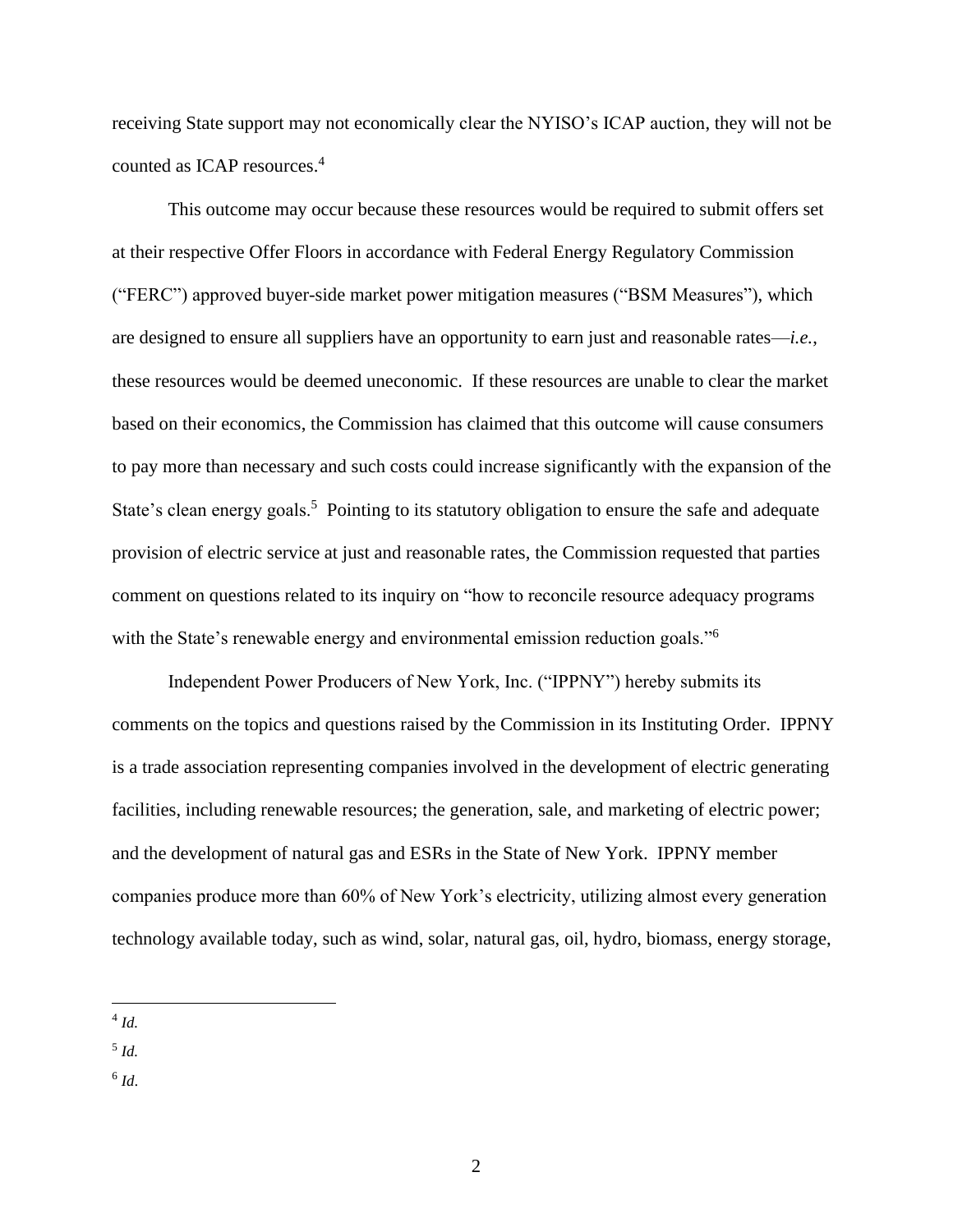receiving State support may not economically clear the NYISO's ICAP auction, they will not be counted as ICAP resources. 4

This outcome may occur because these resources would be required to submit offers set at their respective Offer Floors in accordance with Federal Energy Regulatory Commission ("FERC") approved buyer-side market power mitigation measures ("BSM Measures"), which are designed to ensure all suppliers have an opportunity to earn just and reasonable rates—*i.e.*, these resources would be deemed uneconomic. If these resources are unable to clear the market based on their economics, the Commission has claimed that this outcome will cause consumers to pay more than necessary and such costs could increase significantly with the expansion of the State's clean energy goals.<sup>5</sup> Pointing to its statutory obligation to ensure the safe and adequate provision of electric service at just and reasonable rates, the Commission requested that parties comment on questions related to its inquiry on "how to reconcile resource adequacy programs with the State's renewable energy and environmental emission reduction goals."<sup>6</sup>

Independent Power Producers of New York, Inc. ("IPPNY") hereby submits its comments on the topics and questions raised by the Commission in its Instituting Order. IPPNY is a trade association representing companies involved in the development of electric generating facilities, including renewable resources; the generation, sale, and marketing of electric power; and the development of natural gas and ESRs in the State of New York. IPPNY member companies produce more than 60% of New York's electricity, utilizing almost every generation technology available today, such as wind, solar, natural gas, oil, hydro, biomass, energy storage,

- 5 *Id.*
- 6 *Id*.

<sup>4</sup> *Id.*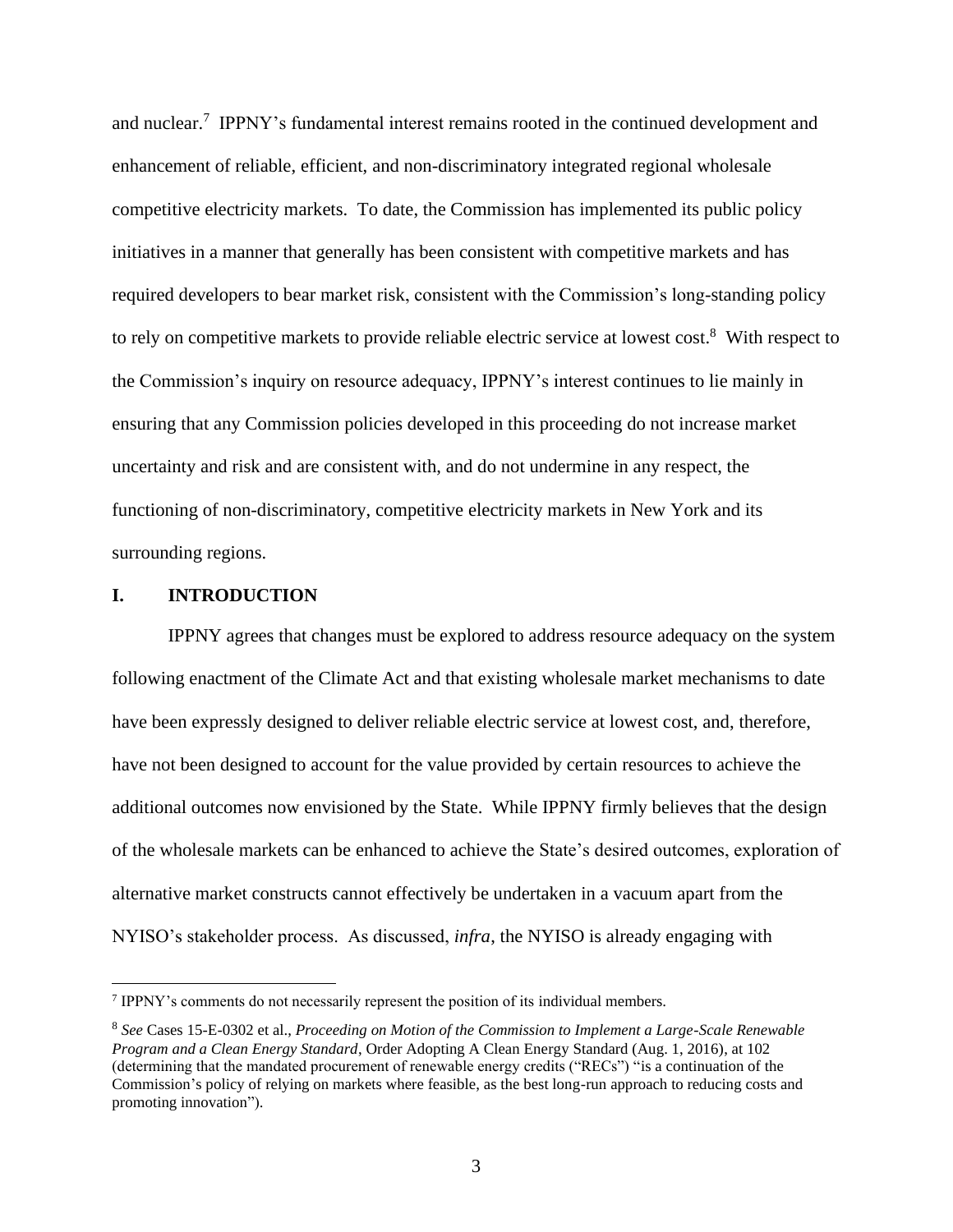and nuclear.<sup>7</sup> IPPNY's fundamental interest remains rooted in the continued development and enhancement of reliable, efficient, and non-discriminatory integrated regional wholesale competitive electricity markets. To date, the Commission has implemented its public policy initiatives in a manner that generally has been consistent with competitive markets and has required developers to bear market risk, consistent with the Commission's long-standing policy to rely on competitive markets to provide reliable electric service at lowest cost.<sup>8</sup> With respect to the Commission's inquiry on resource adequacy, IPPNY's interest continues to lie mainly in ensuring that any Commission policies developed in this proceeding do not increase market uncertainty and risk and are consistent with, and do not undermine in any respect, the functioning of non-discriminatory, competitive electricity markets in New York and its surrounding regions.

#### **I. INTRODUCTION**

IPPNY agrees that changes must be explored to address resource adequacy on the system following enactment of the Climate Act and that existing wholesale market mechanisms to date have been expressly designed to deliver reliable electric service at lowest cost, and, therefore, have not been designed to account for the value provided by certain resources to achieve the additional outcomes now envisioned by the State. While IPPNY firmly believes that the design of the wholesale markets can be enhanced to achieve the State's desired outcomes, exploration of alternative market constructs cannot effectively be undertaken in a vacuum apart from the NYISO's stakeholder process. As discussed, *infra*, the NYISO is already engaging with

<sup>&</sup>lt;sup>7</sup> IPPNY's comments do not necessarily represent the position of its individual members.

<sup>8</sup> *See* Cases 15-E-0302 et al., *Proceeding on Motion of the Commission to Implement a Large-Scale Renewable Program and a Clean Energy Standard*, Order Adopting A Clean Energy Standard (Aug. 1, 2016), at 102 (determining that the mandated procurement of renewable energy credits ("RECs") "is a continuation of the Commission's policy of relying on markets where feasible, as the best long-run approach to reducing costs and promoting innovation").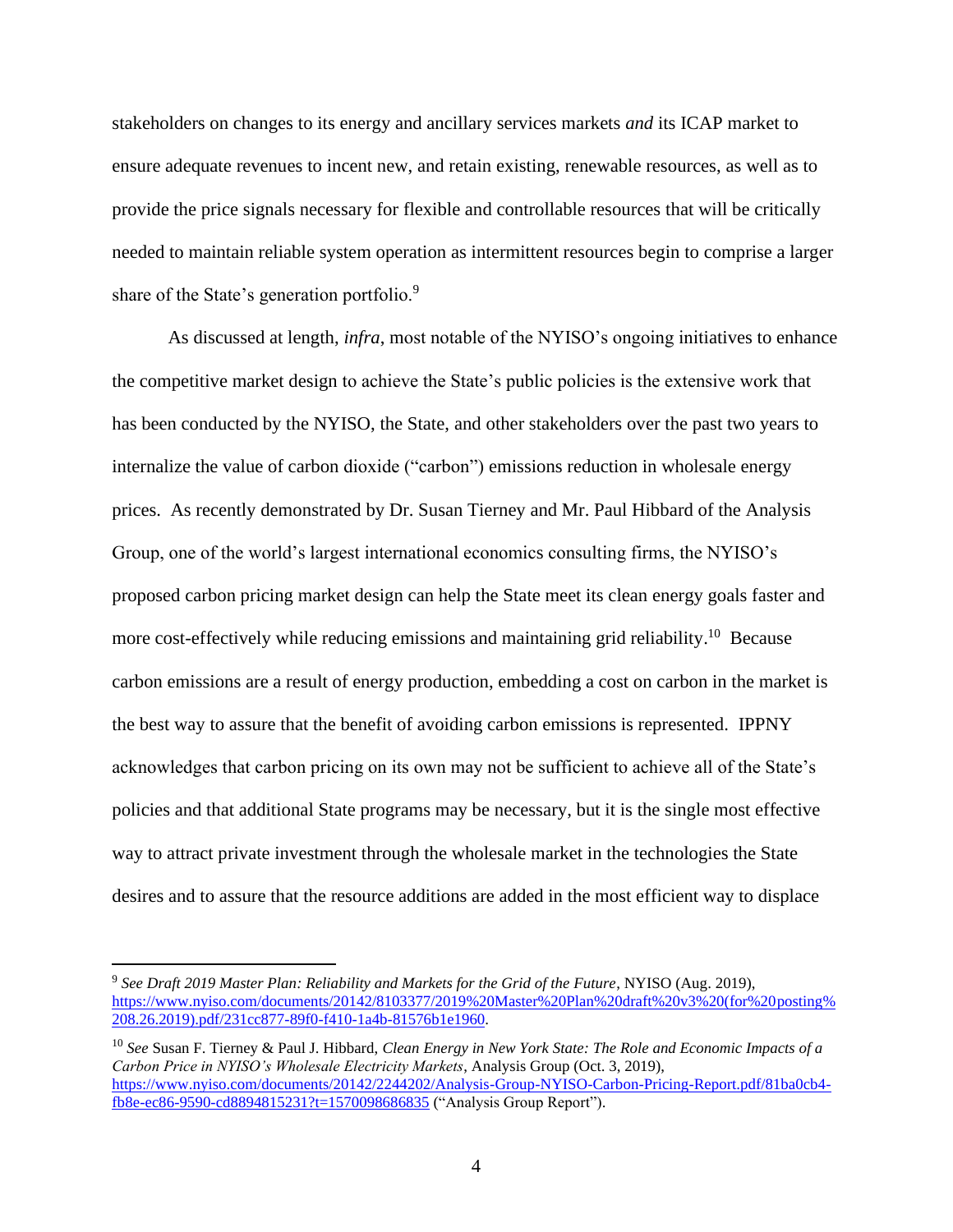stakeholders on changes to its energy and ancillary services markets *and* its ICAP market to ensure adequate revenues to incent new, and retain existing, renewable resources, as well as to provide the price signals necessary for flexible and controllable resources that will be critically needed to maintain reliable system operation as intermittent resources begin to comprise a larger share of the State's generation portfolio.<sup>9</sup>

As discussed at length, *infra*, most notable of the NYISO's ongoing initiatives to enhance the competitive market design to achieve the State's public policies is the extensive work that has been conducted by the NYISO, the State, and other stakeholders over the past two years to internalize the value of carbon dioxide ("carbon") emissions reduction in wholesale energy prices. As recently demonstrated by Dr. Susan Tierney and Mr. Paul Hibbard of the Analysis Group, one of the world's largest international economics consulting firms, the NYISO's proposed carbon pricing market design can help the State meet its clean energy goals faster and more cost-effectively while reducing emissions and maintaining grid reliability.<sup>10</sup> Because carbon emissions are a result of energy production, embedding a cost on carbon in the market is the best way to assure that the benefit of avoiding carbon emissions is represented. IPPNY acknowledges that carbon pricing on its own may not be sufficient to achieve all of the State's policies and that additional State programs may be necessary, but it is the single most effective way to attract private investment through the wholesale market in the technologies the State desires and to assure that the resource additions are added in the most efficient way to displace

<sup>9</sup> *See Draft 2019 Master Plan: Reliability and Markets for the Grid of the Future*, NYISO (Aug. 2019), [https://www.nyiso.com/documents/20142/8103377/2019%20Master%20Plan%20draft%20v3%20\(for%20posting%](https://www.nyiso.com/documents/20142/8103377/2019%20Master%20Plan%20draft%20v3%20(for%20posting%208.26.2019).pdf/231cc877-89f0-f410-1a4b-81576b1e1960) [208.26.2019\).pdf/231cc877-89f0-f410-1a4b-81576b1e1960.](https://www.nyiso.com/documents/20142/8103377/2019%20Master%20Plan%20draft%20v3%20(for%20posting%208.26.2019).pdf/231cc877-89f0-f410-1a4b-81576b1e1960)

<sup>10</sup> *See* Susan F. Tierney & Paul J. Hibbard, *Clean Energy in New York State: The Role and Economic Impacts of a Carbon Price in NYISO's Wholesale Electricity Markets*, Analysis Group (Oct. 3, 2019), [https://www.nyiso.com/documents/20142/2244202/Analysis-Group-NYISO-Carbon-Pricing-Report.pdf/81ba0cb4](https://www.nyiso.com/documents/20142/2244202/Analysis-Group-NYISO-Carbon-Pricing-Report.pdf/81ba0cb4-fb8e-ec86-9590-cd8894815231?t=1570098686835) [fb8e-ec86-9590-cd8894815231?t=1570098686835](https://www.nyiso.com/documents/20142/2244202/Analysis-Group-NYISO-Carbon-Pricing-Report.pdf/81ba0cb4-fb8e-ec86-9590-cd8894815231?t=1570098686835) ("Analysis Group Report").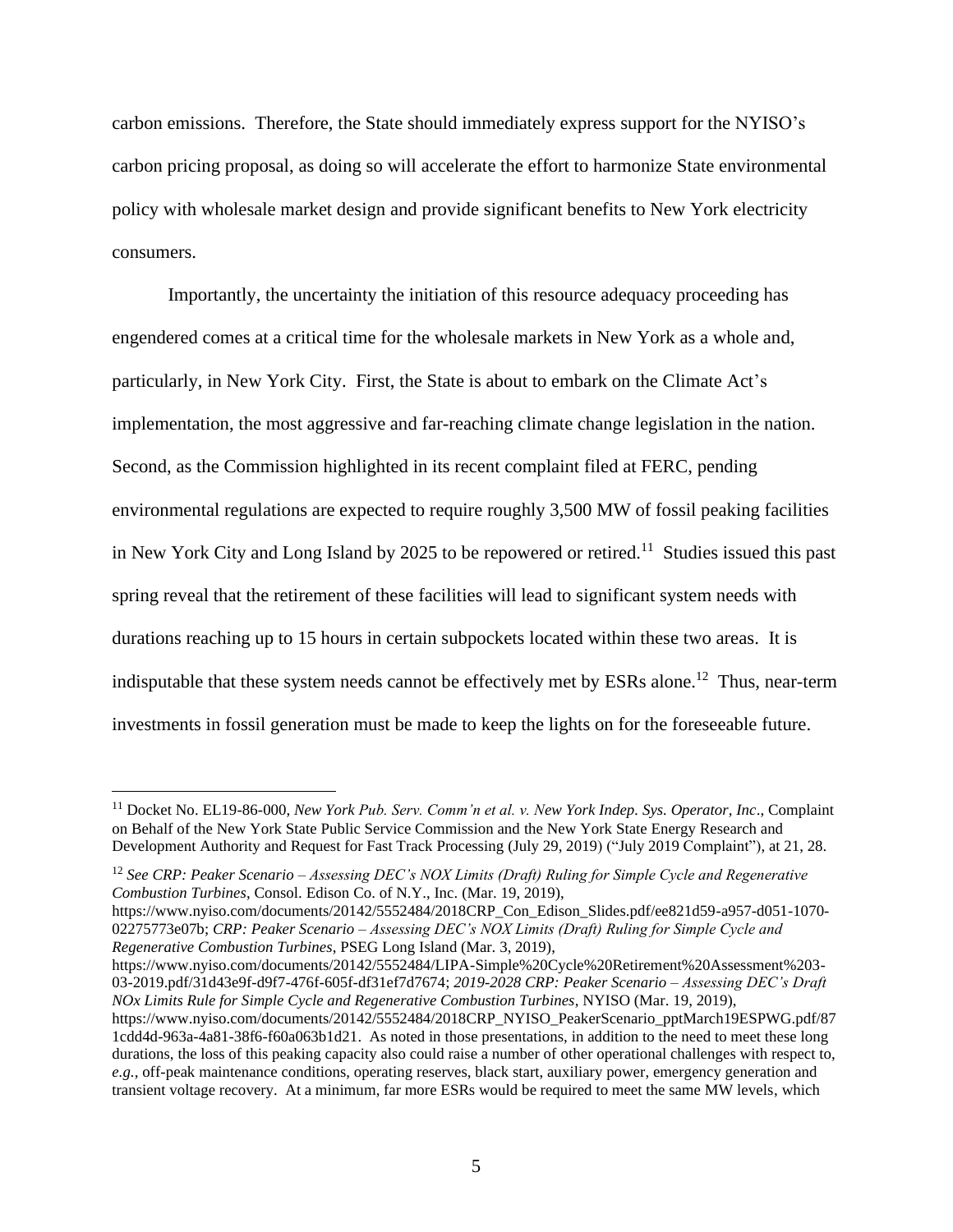carbon emissions. Therefore, the State should immediately express support for the NYISO's carbon pricing proposal, as doing so will accelerate the effort to harmonize State environmental policy with wholesale market design and provide significant benefits to New York electricity consumers.

Importantly, the uncertainty the initiation of this resource adequacy proceeding has engendered comes at a critical time for the wholesale markets in New York as a whole and, particularly, in New York City. First, the State is about to embark on the Climate Act's implementation, the most aggressive and far-reaching climate change legislation in the nation. Second, as the Commission highlighted in its recent complaint filed at FERC, pending environmental regulations are expected to require roughly 3,500 MW of fossil peaking facilities in New York City and Long Island by 2025 to be repowered or retired.<sup>11</sup> Studies issued this past spring reveal that the retirement of these facilities will lead to significant system needs with durations reaching up to 15 hours in certain subpockets located within these two areas. It is indisputable that these system needs cannot be effectively met by ESRs alone.<sup>12</sup> Thus, near-term investments in fossil generation must be made to keep the lights on for the foreseeable future.

https://www.nyiso.com/documents/20142/5552484/2018CRP\_Con\_Edison\_Slides.pdf/ee821d59-a957-d051-1070- 02275773e07b; *CRP: Peaker Scenario – Assessing DEC's NOX Limits (Draft) Ruling for Simple Cycle and Regenerative Combustion Turbines*, PSEG Long Island (Mar. 3, 2019),

https://www.nyiso.com/documents/20142/5552484/LIPA-Simple%20Cycle%20Retirement%20Assessment%203- 03-2019.pdf/31d43e9f-d9f7-476f-605f-df31ef7d7674; *2019-2028 CRP: Peaker Scenario – Assessing DEC's Draft NOx Limits Rule for Simple Cycle and Regenerative Combustion Turbines*, NYISO (Mar. 19, 2019),

<sup>11</sup> Docket No. EL19-86-000, *New York Pub. Serv. Comm'n et al. v. New York Indep. Sys. Operator, Inc*., Complaint on Behalf of the New York State Public Service Commission and the New York State Energy Research and Development Authority and Request for Fast Track Processing (July 29, 2019) ("July 2019 Complaint"), at 21, 28.

<sup>12</sup> *See CRP: Peaker Scenario – Assessing DEC's NOX Limits (Draft) Ruling for Simple Cycle and Regenerative Combustion Turbines*, Consol. Edison Co. of N.Y., Inc. (Mar. 19, 2019),

https://www.nyiso.com/documents/20142/5552484/2018CRP\_NYISO\_PeakerScenario\_pptMarch19ESPWG.pdf/87 1cdd4d-963a-4a81-38f6-f60a063b1d21. As noted in those presentations, in addition to the need to meet these long durations, the loss of this peaking capacity also could raise a number of other operational challenges with respect to, *e.g.*, off-peak maintenance conditions, operating reserves, black start, auxiliary power, emergency generation and transient voltage recovery. At a minimum, far more ESRs would be required to meet the same MW levels, which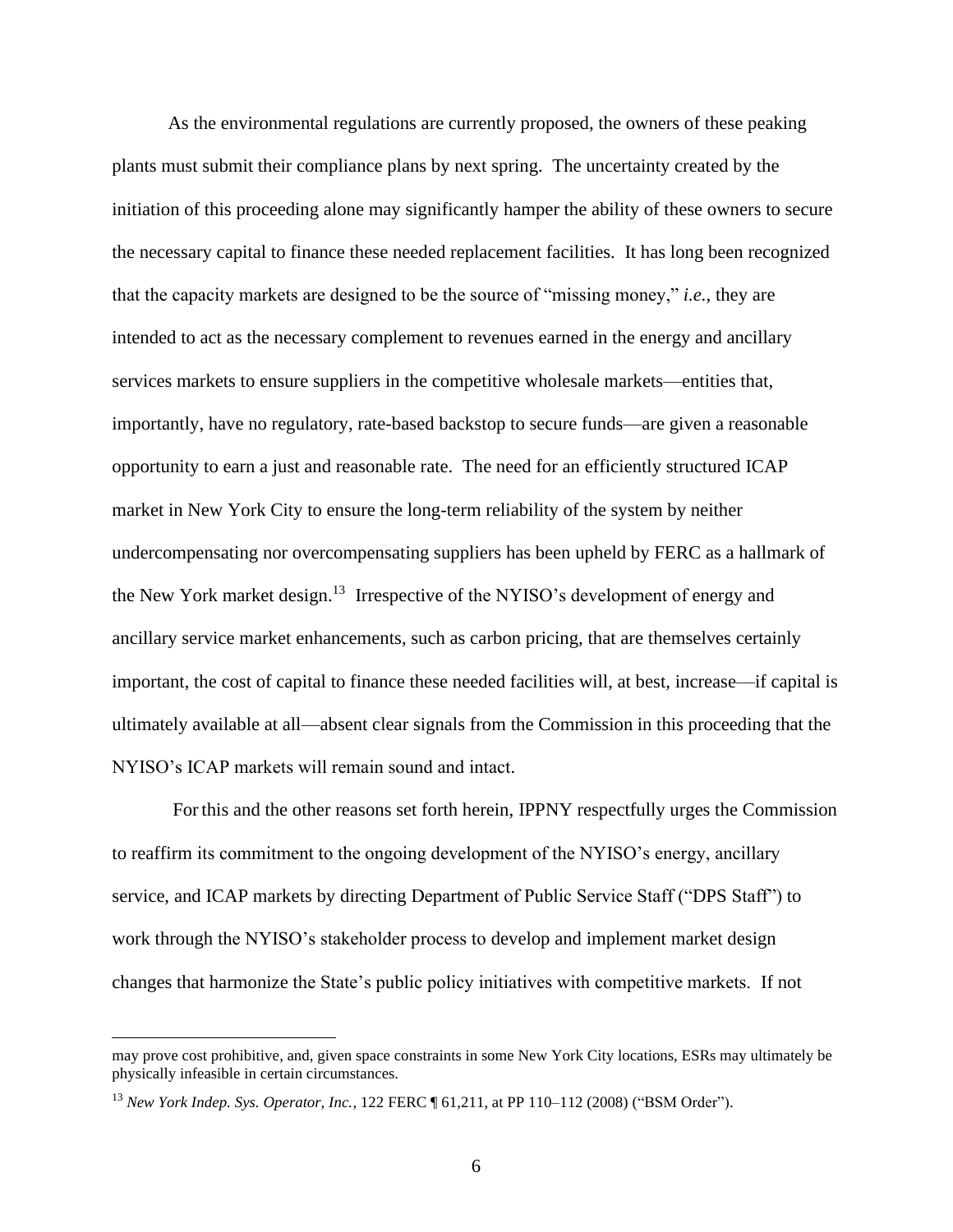As the environmental regulations are currently proposed, the owners of these peaking plants must submit their compliance plans by next spring. The uncertainty created by the initiation of this proceeding alone may significantly hamper the ability of these owners to secure the necessary capital to finance these needed replacement facilities. It has long been recognized that the capacity markets are designed to be the source of "missing money," *i.e.*, they are intended to act as the necessary complement to revenues earned in the energy and ancillary services markets to ensure suppliers in the competitive wholesale markets—entities that, importantly, have no regulatory, rate-based backstop to secure funds—are given a reasonable opportunity to earn a just and reasonable rate. The need for an efficiently structured ICAP market in New York City to ensure the long-term reliability of the system by neither undercompensating nor overcompensating suppliers has been upheld by FERC as a hallmark of the New York market design.<sup>13</sup> Irrespective of the NYISO's development of energy and ancillary service market enhancements, such as carbon pricing, that are themselves certainly important, the cost of capital to finance these needed facilities will, at best, increase—if capital is ultimately available at all—absent clear signals from the Commission in this proceeding that the NYISO's ICAP markets will remain sound and intact.

For this and the other reasons set forth herein, IPPNY respectfully urges the Commission to reaffirm its commitment to the ongoing development of the NYISO's energy, ancillary service, and ICAP markets by directing Department of Public Service Staff ("DPS Staff") to work through the NYISO's stakeholder process to develop and implement market design changes that harmonize the State's public policy initiatives with competitive markets. If not

may prove cost prohibitive, and, given space constraints in some New York City locations, ESRs may ultimately be physically infeasible in certain circumstances.

<sup>13</sup> *New York Indep. Sys. Operator, Inc.*, 122 FERC ¶ 61,211, at PP 110–112 (2008) ("BSM Order").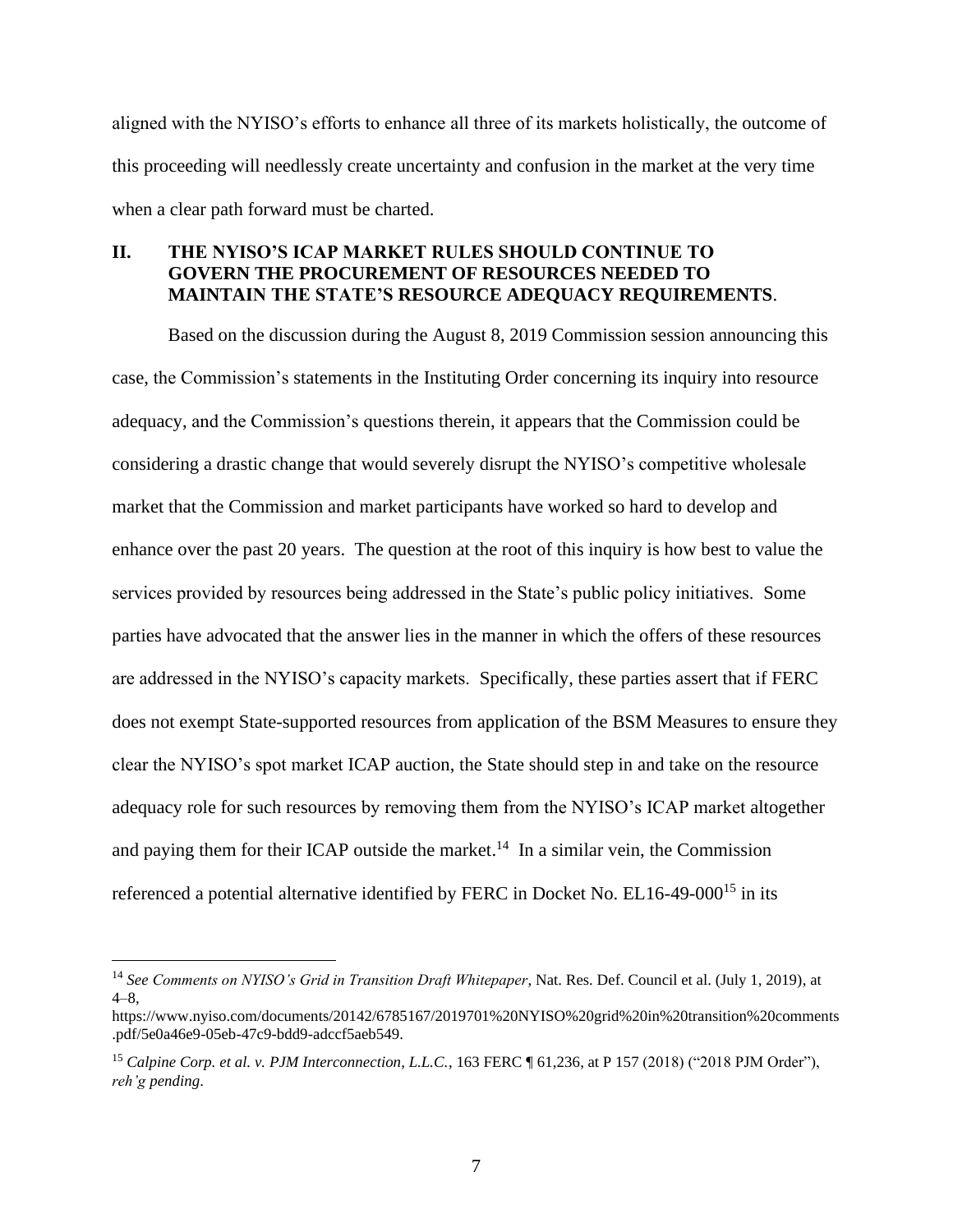aligned with the NYISO's efforts to enhance all three of its markets holistically, the outcome of this proceeding will needlessly create uncertainty and confusion in the market at the very time when a clear path forward must be charted.

### **II. THE NYISO'S ICAP MARKET RULES SHOULD CONTINUE TO GOVERN THE PROCUREMENT OF RESOURCES NEEDED TO MAINTAIN THE STATE'S RESOURCE ADEQUACY REQUIREMENTS**.

Based on the discussion during the August 8, 2019 Commission session announcing this case, the Commission's statements in the Instituting Order concerning its inquiry into resource adequacy, and the Commission's questions therein, it appears that the Commission could be considering a drastic change that would severely disrupt the NYISO's competitive wholesale market that the Commission and market participants have worked so hard to develop and enhance over the past 20 years. The question at the root of this inquiry is how best to value the services provided by resources being addressed in the State's public policy initiatives. Some parties have advocated that the answer lies in the manner in which the offers of these resources are addressed in the NYISO's capacity markets. Specifically, these parties assert that if FERC does not exempt State-supported resources from application of the BSM Measures to ensure they clear the NYISO's spot market ICAP auction, the State should step in and take on the resource adequacy role for such resources by removing them from the NYISO's ICAP market altogether and paying them for their ICAP outside the market.<sup>14</sup> In a similar vein, the Commission referenced a potential alternative identified by FERC in Docket No. EL16-49-000<sup>15</sup> in its

<sup>14</sup> *See Comments on NYISO's Grid in Transition Draft Whitepaper*, Nat. Res. Def. Council et al. (July 1, 2019), at  $4 - 8$ 

https://www.nyiso.com/documents/20142/6785167/2019701%20NYISO%20grid%20in%20transition%20comments .pdf/5e0a46e9-05eb-47c9-bdd9-adccf5aeb549.

<sup>15</sup> *Calpine Corp. et al. v. PJM Interconnection, L.L.C.*, 163 FERC ¶ 61,236, at P 157 (2018) ("2018 PJM Order"), *reh'g pending*.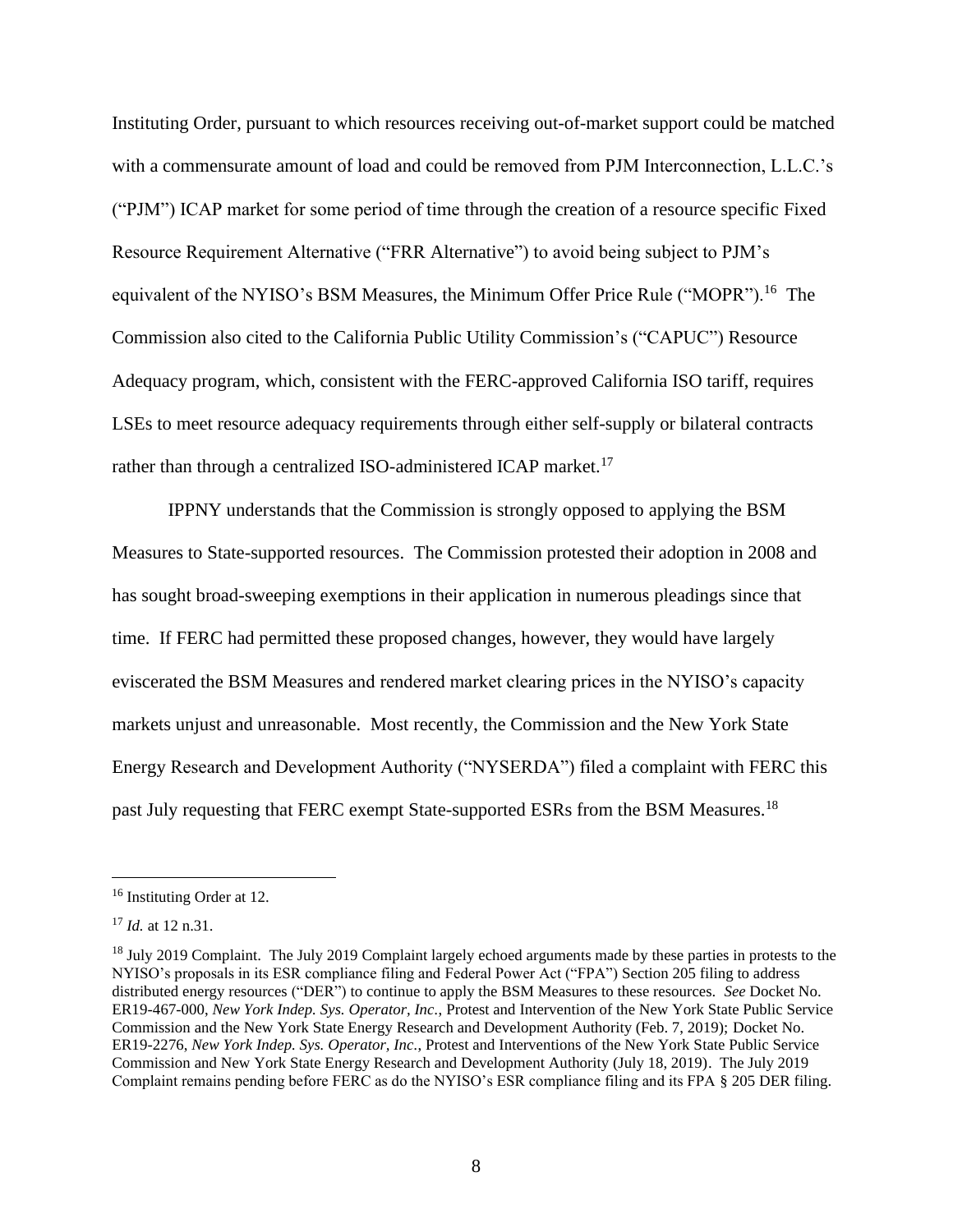Instituting Order, pursuant to which resources receiving out-of-market support could be matched with a commensurate amount of load and could be removed from PJM Interconnection, L.L.C.'s ("PJM") ICAP market for some period of time through the creation of a resource specific Fixed Resource Requirement Alternative ("FRR Alternative") to avoid being subject to PJM's equivalent of the NYISO's BSM Measures, the Minimum Offer Price Rule ("MOPR").<sup>16</sup> The Commission also cited to the California Public Utility Commission's ("CAPUC") Resource Adequacy program, which, consistent with the FERC-approved California ISO tariff, requires LSEs to meet resource adequacy requirements through either self-supply or bilateral contracts rather than through a centralized ISO-administered ICAP market.<sup>17</sup>

IPPNY understands that the Commission is strongly opposed to applying the BSM Measures to State-supported resources. The Commission protested their adoption in 2008 and has sought broad-sweeping exemptions in their application in numerous pleadings since that time. If FERC had permitted these proposed changes, however, they would have largely eviscerated the BSM Measures and rendered market clearing prices in the NYISO's capacity markets unjust and unreasonable. Most recently, the Commission and the New York State Energy Research and Development Authority ("NYSERDA") filed a complaint with FERC this past July requesting that FERC exempt State-supported ESRs from the BSM Measures.<sup>18</sup>

<sup>16</sup> Instituting Order at 12.

<sup>17</sup> *Id.* at 12 n.31.

<sup>&</sup>lt;sup>18</sup> July 2019 Complaint. The July 2019 Complaint largely echoed arguments made by these parties in protests to the NYISO's proposals in its ESR compliance filing and Federal Power Act ("FPA") Section 205 filing to address distributed energy resources ("DER") to continue to apply the BSM Measures to these resources. *See* Docket No. ER19-467-000, *New York Indep. Sys. Operator, Inc.*, Protest and Intervention of the New York State Public Service Commission and the New York State Energy Research and Development Authority (Feb. 7, 2019); Docket No. ER19-2276, *New York Indep. Sys. Operator, Inc.*, Protest and Interventions of the New York State Public Service Commission and New York State Energy Research and Development Authority (July 18, 2019). The July 2019 Complaint remains pending before FERC as do the NYISO's ESR compliance filing and its FPA § 205 DER filing.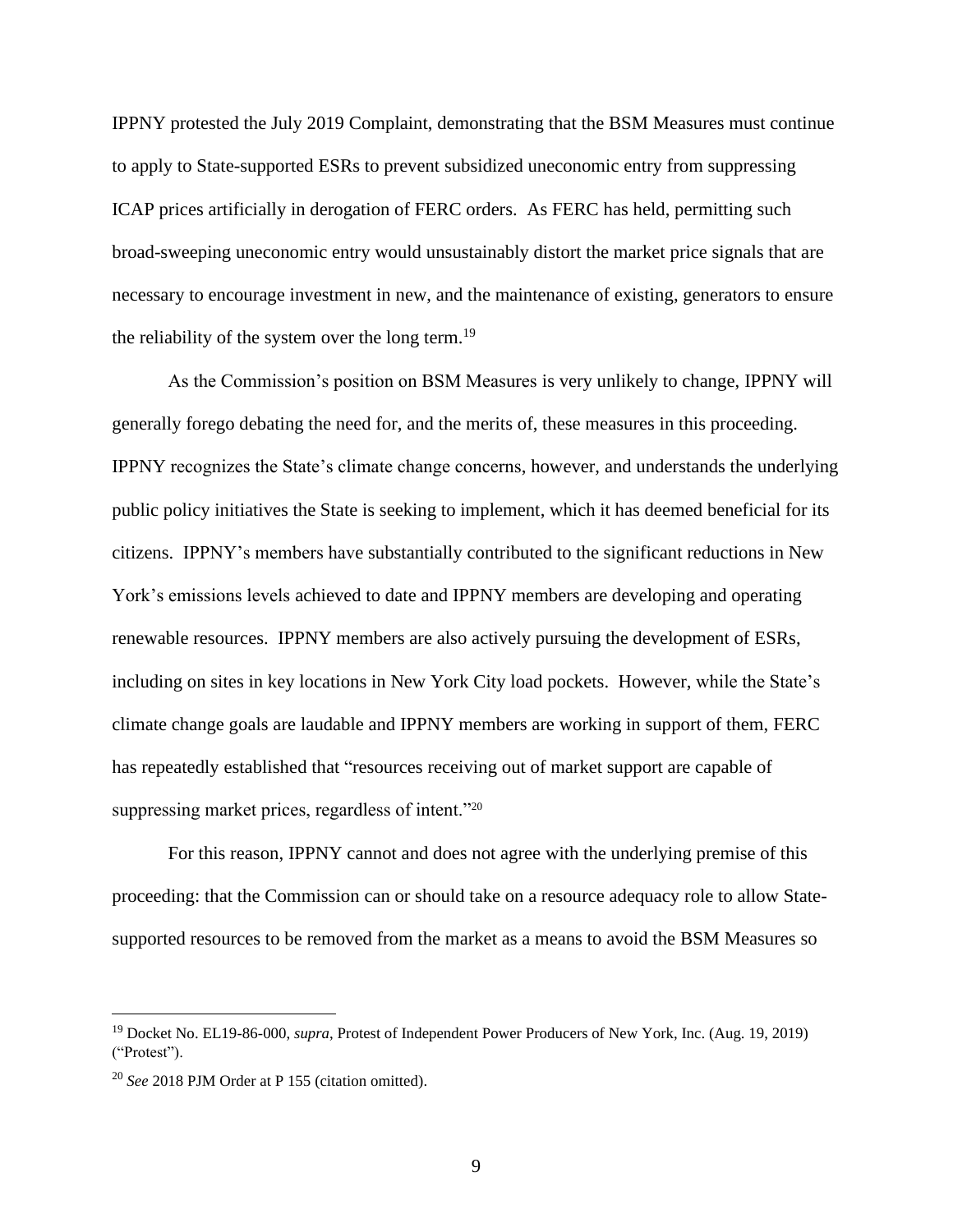IPPNY protested the July 2019 Complaint, demonstrating that the BSM Measures must continue to apply to State-supported ESRs to prevent subsidized uneconomic entry from suppressing ICAP prices artificially in derogation of FERC orders. As FERC has held, permitting such broad-sweeping uneconomic entry would unsustainably distort the market price signals that are necessary to encourage investment in new, and the maintenance of existing, generators to ensure the reliability of the system over the long term.<sup>19</sup>

As the Commission's position on BSM Measures is very unlikely to change, IPPNY will generally forego debating the need for, and the merits of, these measures in this proceeding. IPPNY recognizes the State's climate change concerns, however, and understands the underlying public policy initiatives the State is seeking to implement, which it has deemed beneficial for its citizens. IPPNY's members have substantially contributed to the significant reductions in New York's emissions levels achieved to date and IPPNY members are developing and operating renewable resources. IPPNY members are also actively pursuing the development of ESRs, including on sites in key locations in New York City load pockets. However, while the State's climate change goals are laudable and IPPNY members are working in support of them, FERC has repeatedly established that "resources receiving out of market support are capable of suppressing market prices, regardless of intent."<sup>20</sup>

For this reason, IPPNY cannot and does not agree with the underlying premise of this proceeding: that the Commission can or should take on a resource adequacy role to allow Statesupported resources to be removed from the market as a means to avoid the BSM Measures so

<sup>19</sup> Docket No. EL19-86-000, *supra*, Protest of Independent Power Producers of New York, Inc. (Aug. 19, 2019) ("Protest").

<sup>20</sup> *See* 2018 PJM Order at P 155 (citation omitted).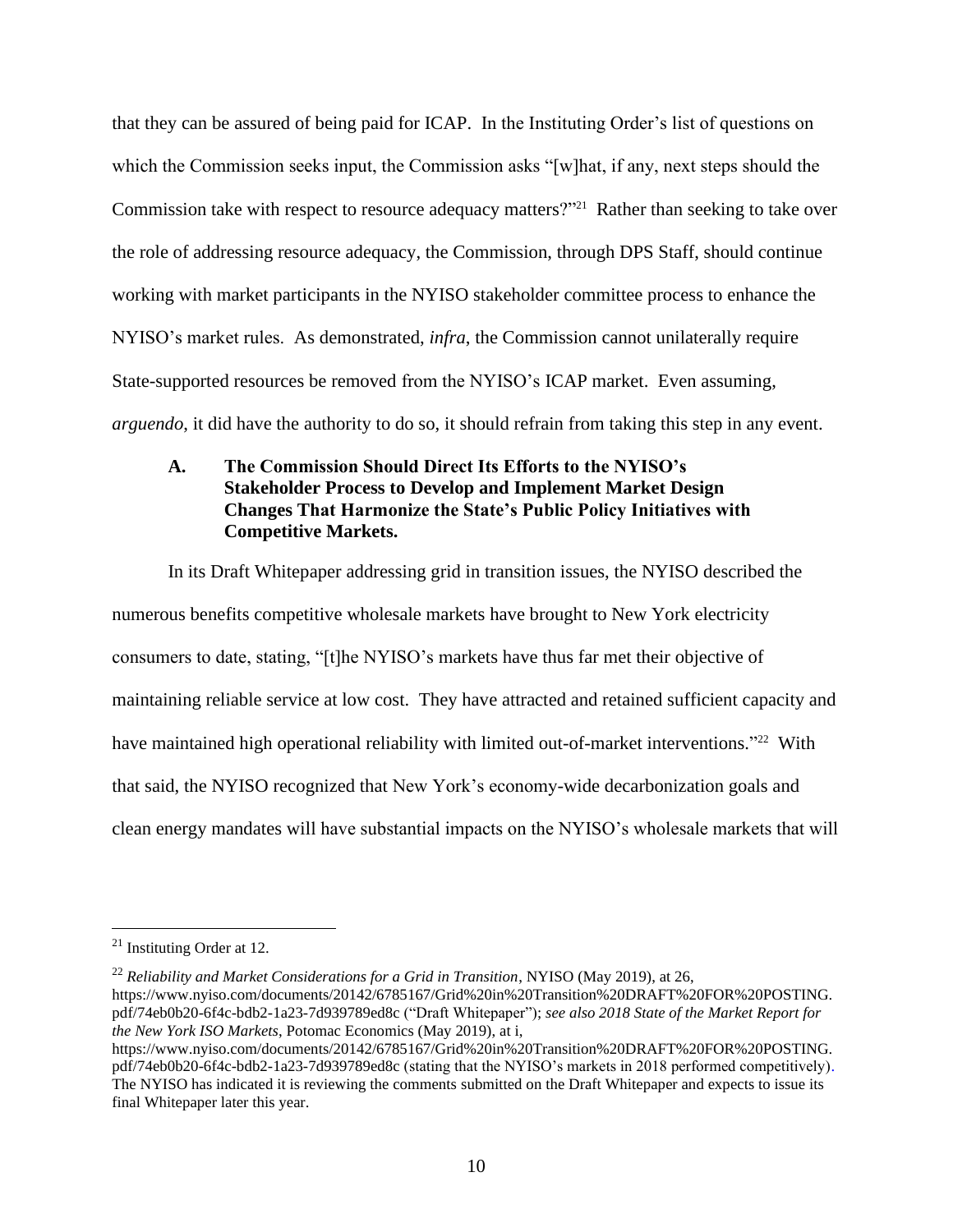that they can be assured of being paid for ICAP. In the Instituting Order's list of questions on which the Commission seeks input, the Commission asks "[w]hat, if any, next steps should the Commission take with respect to resource adequacy matters?"<sup>21</sup> Rather than seeking to take over the role of addressing resource adequacy, the Commission, through DPS Staff, should continue working with market participants in the NYISO stakeholder committee process to enhance the NYISO's market rules. As demonstrated, *infra*, the Commission cannot unilaterally require State-supported resources be removed from the NYISO's ICAP market. Even assuming, *arguendo*, it did have the authority to do so, it should refrain from taking this step in any event.

### **A. The Commission Should Direct Its Efforts to the NYISO's Stakeholder Process to Develop and Implement Market Design Changes That Harmonize the State's Public Policy Initiatives with Competitive Markets.**

In its Draft Whitepaper addressing grid in transition issues, the NYISO described the numerous benefits competitive wholesale markets have brought to New York electricity consumers to date, stating, "[t]he NYISO's markets have thus far met their objective of maintaining reliable service at low cost. They have attracted and retained sufficient capacity and have maintained high operational reliability with limited out-of-market interventions."<sup>22</sup> With that said, the NYISO recognized that New York's economy-wide decarbonization goals and clean energy mandates will have substantial impacts on the NYISO's wholesale markets that will

<sup>21</sup> Instituting Order at 12.

<sup>22</sup> *Reliability and Market Considerations for a Grid in Transition*, NYISO (May 2019), at 26, [https://www.nyiso.com/documents/20142/6785167/Grid%20in%20Transition%20DRAFT%20FOR%20POSTING.](https://www.nyiso.com/documents/20142/6785167/Grid%20in%20Transition%20DRAFT%20FOR%20POSTING.pdf/74eb0b20-6f4c-bdb2-1a23-7d939789ed8c) [pdf/74eb0b20-6f4c-bdb2-1a23-7d939789ed8c](https://www.nyiso.com/documents/20142/6785167/Grid%20in%20Transition%20DRAFT%20FOR%20POSTING.pdf/74eb0b20-6f4c-bdb2-1a23-7d939789ed8c) ("Draft Whitepaper"); *see also 2018 State of the Market Report for the New York ISO Markets*, Potomac Economics (May 2019), at i,

https://www.nyiso.com/documents/20142/6785167/Grid%20in%20Transition%20DRAFT%20FOR%20POSTING. pdf/74eb0b20-6f4c-bdb2-1a23-7d939789ed8c (stating that the NYISO's markets in 2018 performed competitively). The NYISO has indicated it is reviewing the comments submitted on the Draft Whitepaper and expects to issue its final Whitepaper later this year.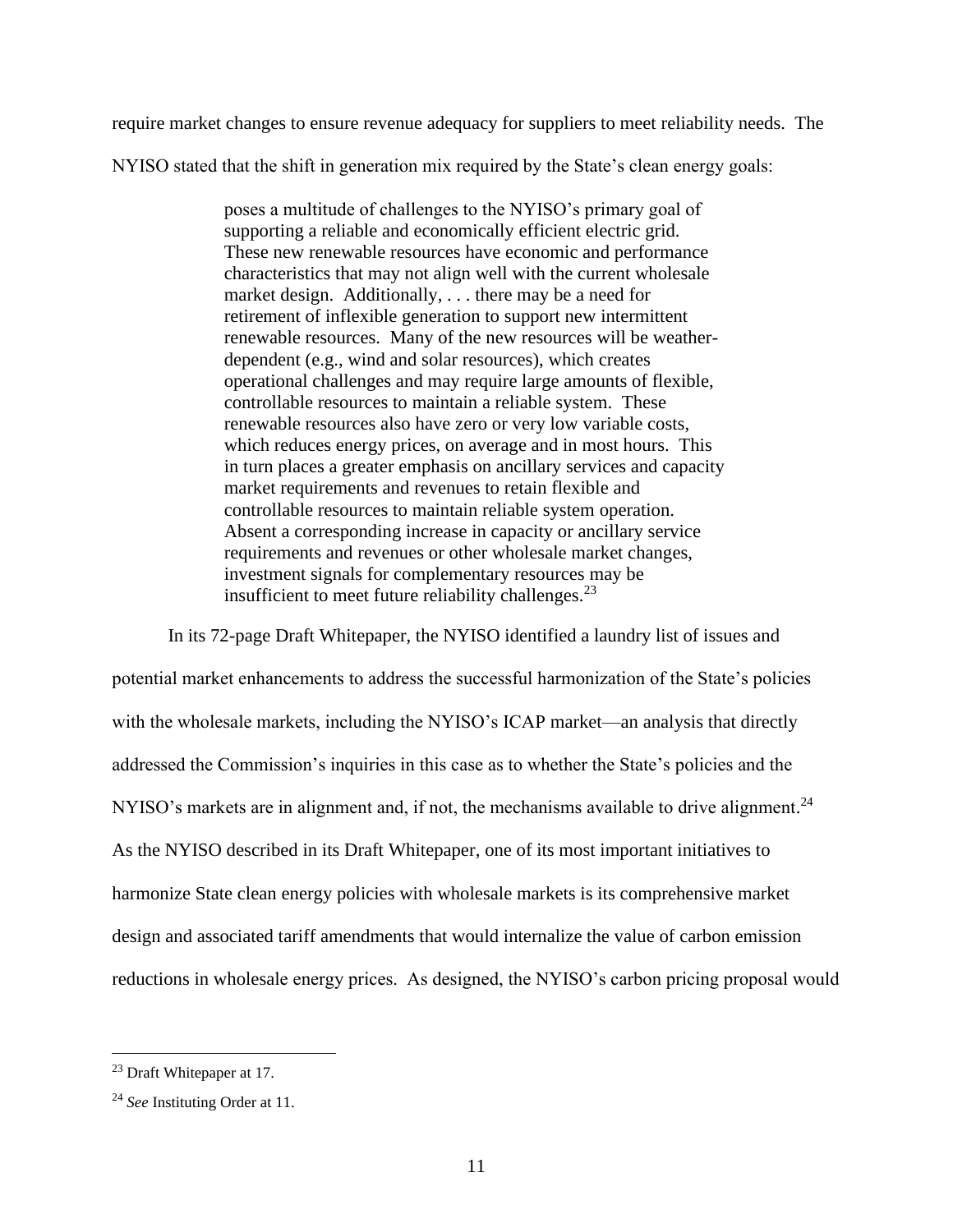require market changes to ensure revenue adequacy for suppliers to meet reliability needs. The

NYISO stated that the shift in generation mix required by the State's clean energy goals:

poses a multitude of challenges to the NYISO's primary goal of supporting a reliable and economically efficient electric grid. These new renewable resources have economic and performance characteristics that may not align well with the current wholesale market design. Additionally, . . . there may be a need for retirement of inflexible generation to support new intermittent renewable resources. Many of the new resources will be weatherdependent (e.g., wind and solar resources), which creates operational challenges and may require large amounts of flexible, controllable resources to maintain a reliable system. These renewable resources also have zero or very low variable costs, which reduces energy prices, on average and in most hours. This in turn places a greater emphasis on ancillary services and capacity market requirements and revenues to retain flexible and controllable resources to maintain reliable system operation. Absent a corresponding increase in capacity or ancillary service requirements and revenues or other wholesale market changes, investment signals for complementary resources may be insufficient to meet future reliability challenges.<sup>23</sup>

In its 72-page Draft Whitepaper, the NYISO identified a laundry list of issues and potential market enhancements to address the successful harmonization of the State's policies with the wholesale markets, including the NYISO's ICAP market—an analysis that directly addressed the Commission's inquiries in this case as to whether the State's policies and the NYISO's markets are in alignment and, if not, the mechanisms available to drive alignment.<sup>24</sup> As the NYISO described in its Draft Whitepaper, one of its most important initiatives to harmonize State clean energy policies with wholesale markets is its comprehensive market design and associated tariff amendments that would internalize the value of carbon emission reductions in wholesale energy prices. As designed, the NYISO's carbon pricing proposal would

<sup>23</sup> Draft Whitepaper at 17.

<sup>24</sup> *See* Instituting Order at 11.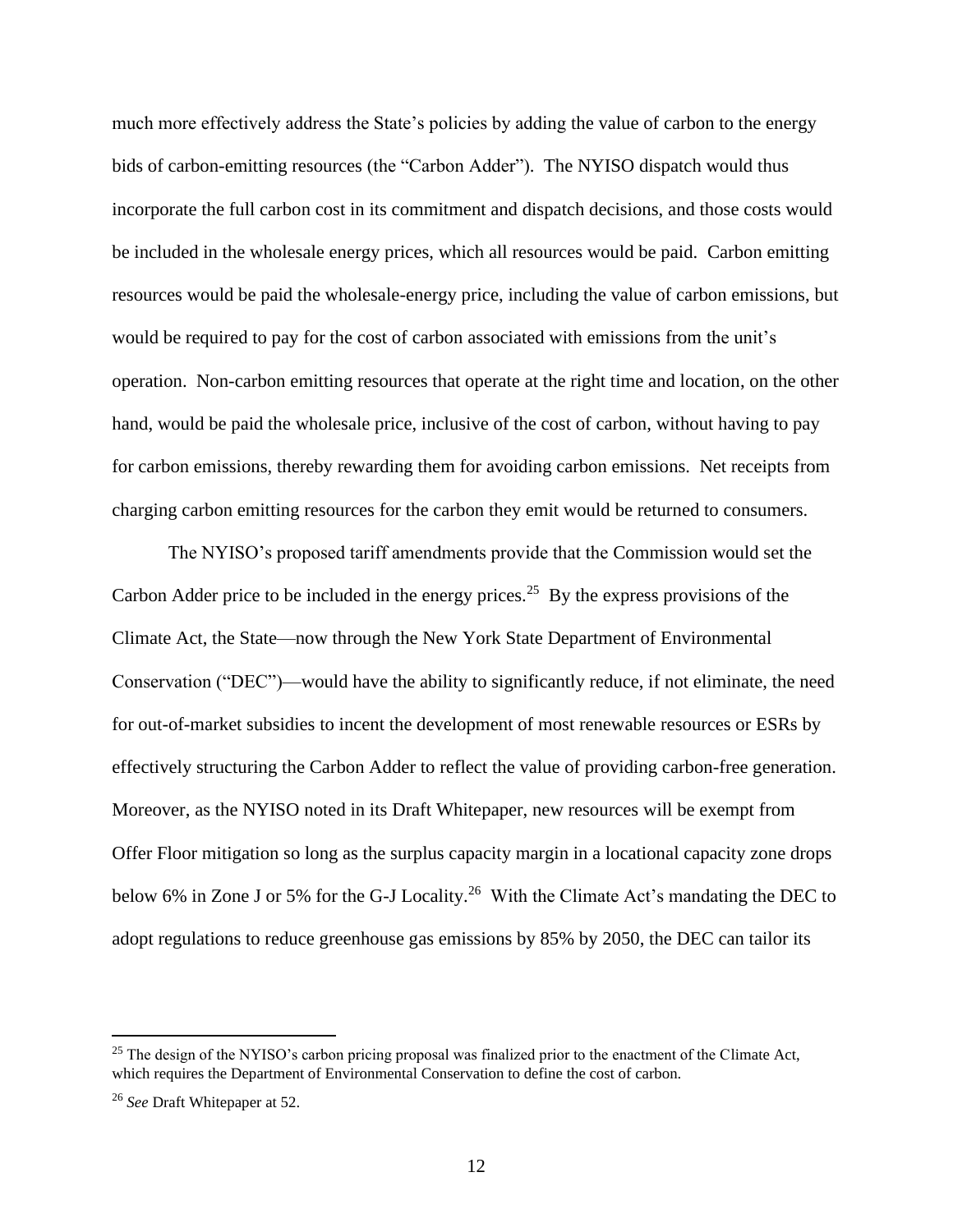much more effectively address the State's policies by adding the value of carbon to the energy bids of carbon-emitting resources (the "Carbon Adder"). The NYISO dispatch would thus incorporate the full carbon cost in its commitment and dispatch decisions, and those costs would be included in the wholesale energy prices, which all resources would be paid. Carbon emitting resources would be paid the wholesale-energy price, including the value of carbon emissions, but would be required to pay for the cost of carbon associated with emissions from the unit's operation. Non-carbon emitting resources that operate at the right time and location, on the other hand, would be paid the wholesale price, inclusive of the cost of carbon, without having to pay for carbon emissions, thereby rewarding them for avoiding carbon emissions. Net receipts from charging carbon emitting resources for the carbon they emit would be returned to consumers.

The NYISO's proposed tariff amendments provide that the Commission would set the Carbon Adder price to be included in the energy prices.<sup>25</sup> By the express provisions of the Climate Act, the State—now through the New York State Department of Environmental Conservation ("DEC")—would have the ability to significantly reduce, if not eliminate, the need for out-of-market subsidies to incent the development of most renewable resources or ESRs by effectively structuring the Carbon Adder to reflect the value of providing carbon-free generation. Moreover, as the NYISO noted in its Draft Whitepaper, new resources will be exempt from Offer Floor mitigation so long as the surplus capacity margin in a locational capacity zone drops below 6% in Zone J or 5% for the G-J Locality.<sup>26</sup> With the Climate Act's mandating the DEC to adopt regulations to reduce greenhouse gas emissions by 85% by 2050, the DEC can tailor its

<sup>&</sup>lt;sup>25</sup> The design of the NYISO's carbon pricing proposal was finalized prior to the enactment of the Climate Act, which requires the Department of Environmental Conservation to define the cost of carbon.

<sup>26</sup> *See* Draft Whitepaper at 52.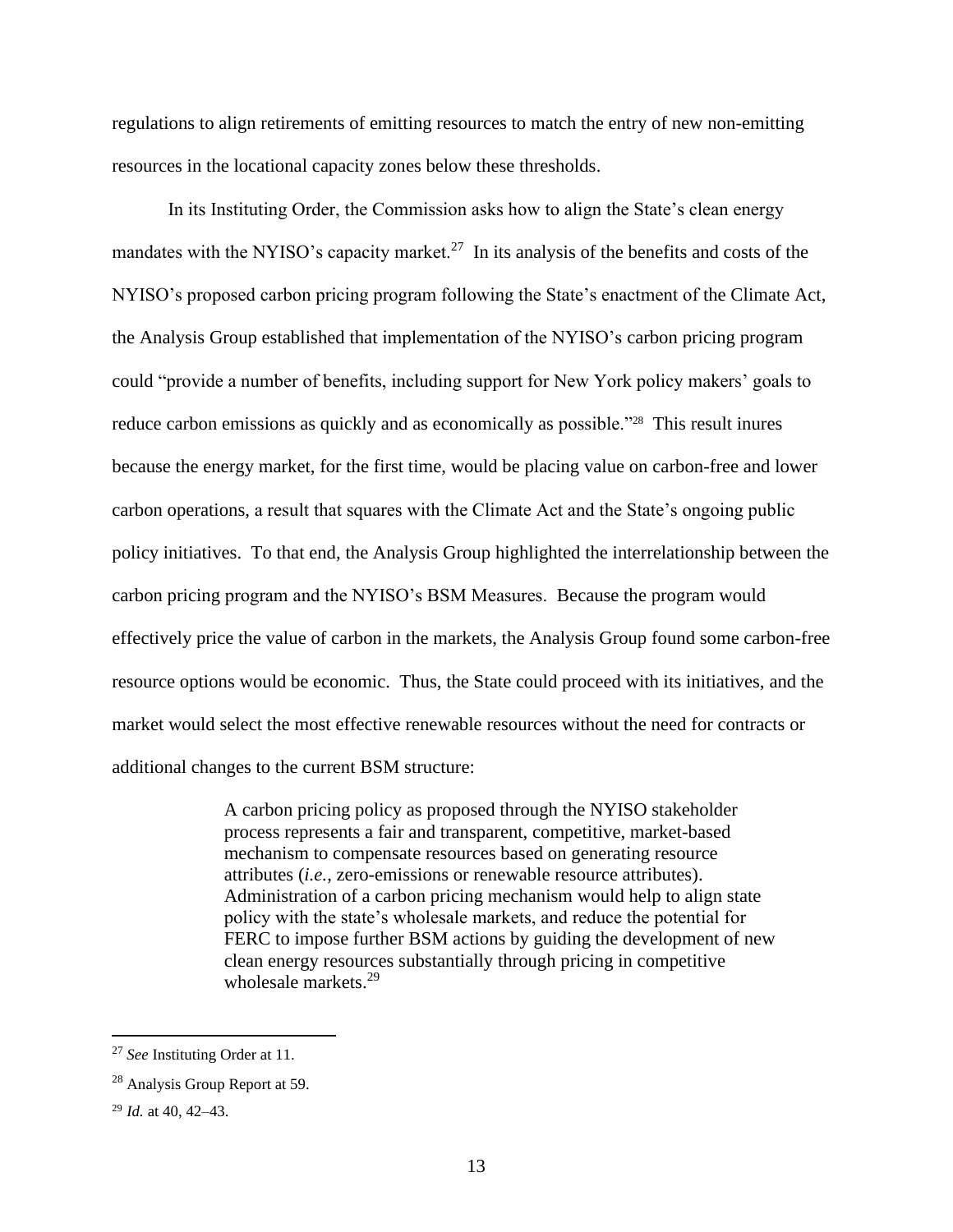regulations to align retirements of emitting resources to match the entry of new non-emitting resources in the locational capacity zones below these thresholds.

In its Instituting Order, the Commission asks how to align the State's clean energy mandates with the NYISO's capacity market.<sup>27</sup> In its analysis of the benefits and costs of the NYISO's proposed carbon pricing program following the State's enactment of the Climate Act, the Analysis Group established that implementation of the NYISO's carbon pricing program could "provide a number of benefits, including support for New York policy makers' goals to reduce carbon emissions as quickly and as economically as possible."<sup>28</sup> This result inures because the energy market, for the first time, would be placing value on carbon-free and lower carbon operations, a result that squares with the Climate Act and the State's ongoing public policy initiatives. To that end, the Analysis Group highlighted the interrelationship between the carbon pricing program and the NYISO's BSM Measures. Because the program would effectively price the value of carbon in the markets, the Analysis Group found some carbon-free resource options would be economic. Thus, the State could proceed with its initiatives, and the market would select the most effective renewable resources without the need for contracts or additional changes to the current BSM structure:

> A carbon pricing policy as proposed through the NYISO stakeholder process represents a fair and transparent, competitive, market-based mechanism to compensate resources based on generating resource attributes (*i.e.*, zero-emissions or renewable resource attributes). Administration of a carbon pricing mechanism would help to align state policy with the state's wholesale markets, and reduce the potential for FERC to impose further BSM actions by guiding the development of new clean energy resources substantially through pricing in competitive wholesale markets.<sup>29</sup>

<sup>27</sup> *See* Instituting Order at 11.

<sup>28</sup> Analysis Group Report at 59.

<sup>29</sup> *Id.* at 40, 42–43.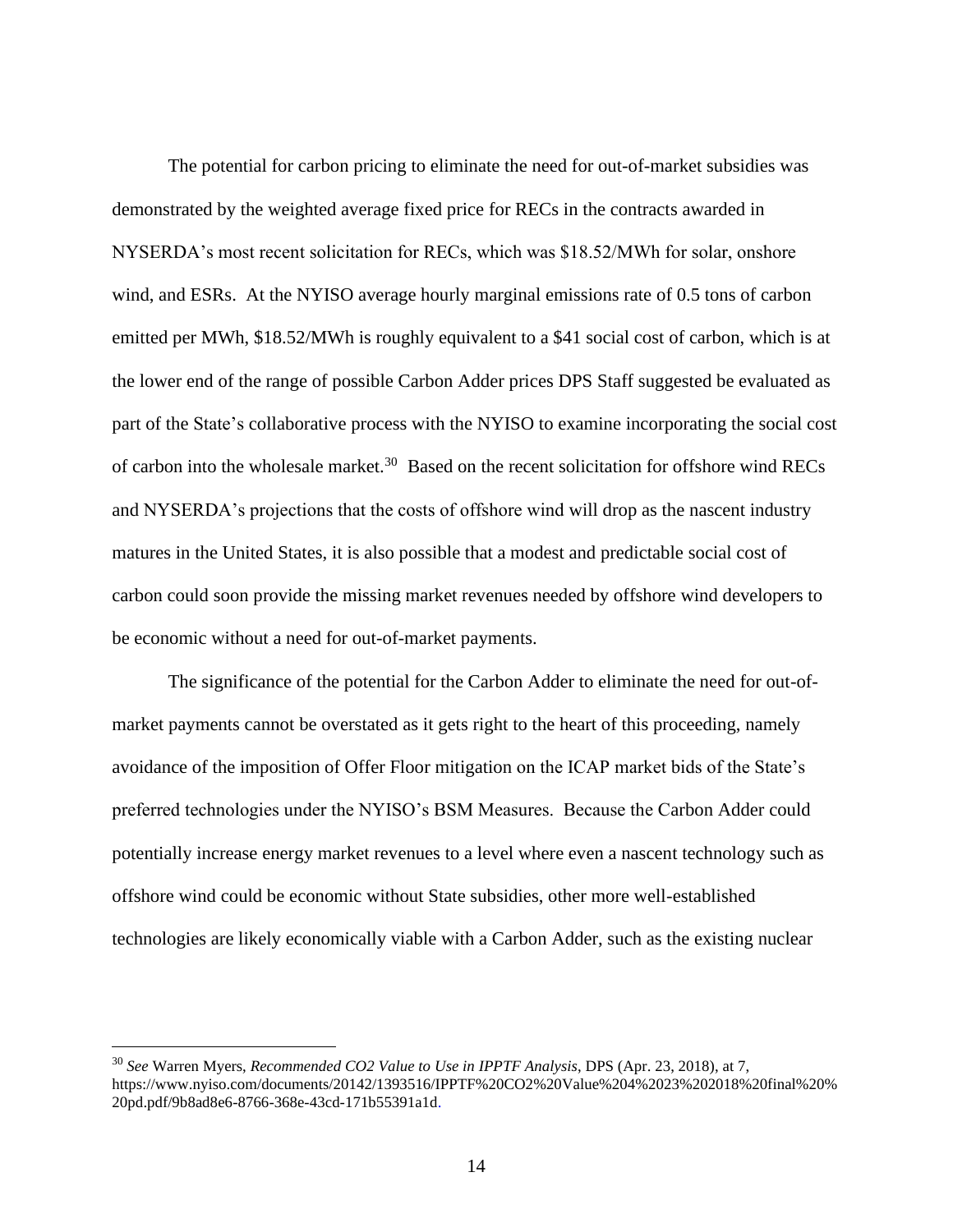The potential for carbon pricing to eliminate the need for out-of-market subsidies was demonstrated by the weighted average fixed price for RECs in the contracts awarded in NYSERDA's most recent solicitation for RECs, which was \$18.52/MWh for solar, onshore wind, and ESRs. At the NYISO average hourly marginal emissions rate of 0.5 tons of carbon emitted per MWh, \$18.52/MWh is roughly equivalent to a \$41 social cost of carbon, which is at the lower end of the range of possible Carbon Adder prices DPS Staff suggested be evaluated as part of the State's collaborative process with the NYISO to examine incorporating the social cost of carbon into the wholesale market.<sup>30</sup> Based on the recent solicitation for offshore wind RECs and NYSERDA's projections that the costs of offshore wind will drop as the nascent industry matures in the United States, it is also possible that a modest and predictable social cost of carbon could soon provide the missing market revenues needed by offshore wind developers to be economic without a need for out-of-market payments.

The significance of the potential for the Carbon Adder to eliminate the need for out-ofmarket payments cannot be overstated as it gets right to the heart of this proceeding, namely avoidance of the imposition of Offer Floor mitigation on the ICAP market bids of the State's preferred technologies under the NYISO's BSM Measures. Because the Carbon Adder could potentially increase energy market revenues to a level where even a nascent technology such as offshore wind could be economic without State subsidies, other more well-established technologies are likely economically viable with a Carbon Adder, such as the existing nuclear

<sup>30</sup> *See* Warren Myers, *Recommended CO2 Value to Use in IPPTF Analysis*, DPS (Apr. 23, 2018), at 7, https://www.nyiso.com/documents/20142/1393516/IPPTF%20CO2%20Value%204%2023%202018%20final%20% 20pd.pdf/9b8ad8e6-8766-368e-43cd-171b55391a1d.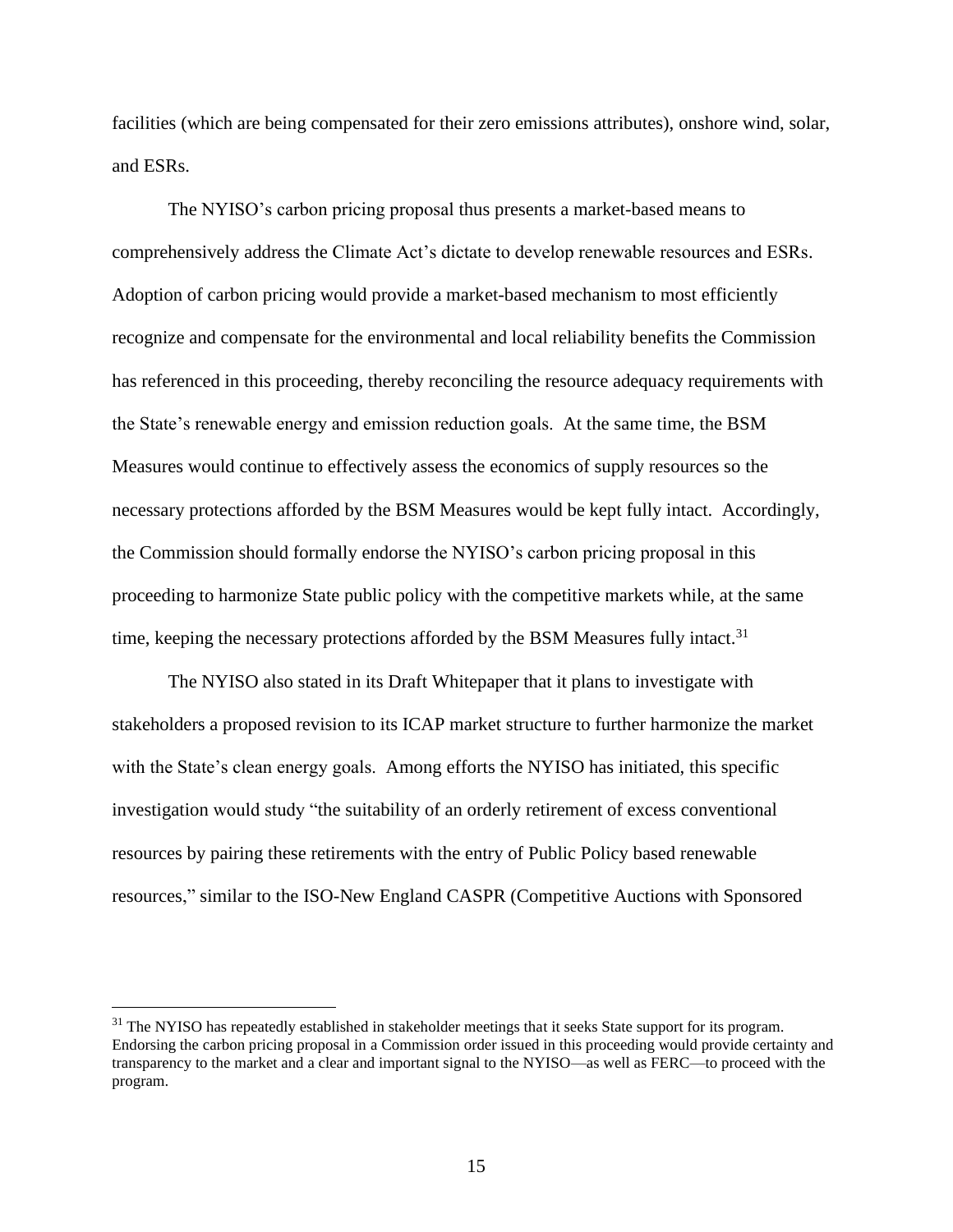facilities (which are being compensated for their zero emissions attributes), onshore wind, solar, and ESRs.

The NYISO's carbon pricing proposal thus presents a market-based means to comprehensively address the Climate Act's dictate to develop renewable resources and ESRs. Adoption of carbon pricing would provide a market-based mechanism to most efficiently recognize and compensate for the environmental and local reliability benefits the Commission has referenced in this proceeding, thereby reconciling the resource adequacy requirements with the State's renewable energy and emission reduction goals. At the same time, the BSM Measures would continue to effectively assess the economics of supply resources so the necessary protections afforded by the BSM Measures would be kept fully intact. Accordingly, the Commission should formally endorse the NYISO's carbon pricing proposal in this proceeding to harmonize State public policy with the competitive markets while, at the same time, keeping the necessary protections afforded by the BSM Measures fully intact.<sup>31</sup>

The NYISO also stated in its Draft Whitepaper that it plans to investigate with stakeholders a proposed revision to its ICAP market structure to further harmonize the market with the State's clean energy goals. Among efforts the NYISO has initiated, this specific investigation would study "the suitability of an orderly retirement of excess conventional resources by pairing these retirements with the entry of Public Policy based renewable resources," similar to the ISO-New England CASPR (Competitive Auctions with Sponsored

 $31$  The NYISO has repeatedly established in stakeholder meetings that it seeks State support for its program. Endorsing the carbon pricing proposal in a Commission order issued in this proceeding would provide certainty and transparency to the market and a clear and important signal to the NYISO—as well as FERC—to proceed with the program.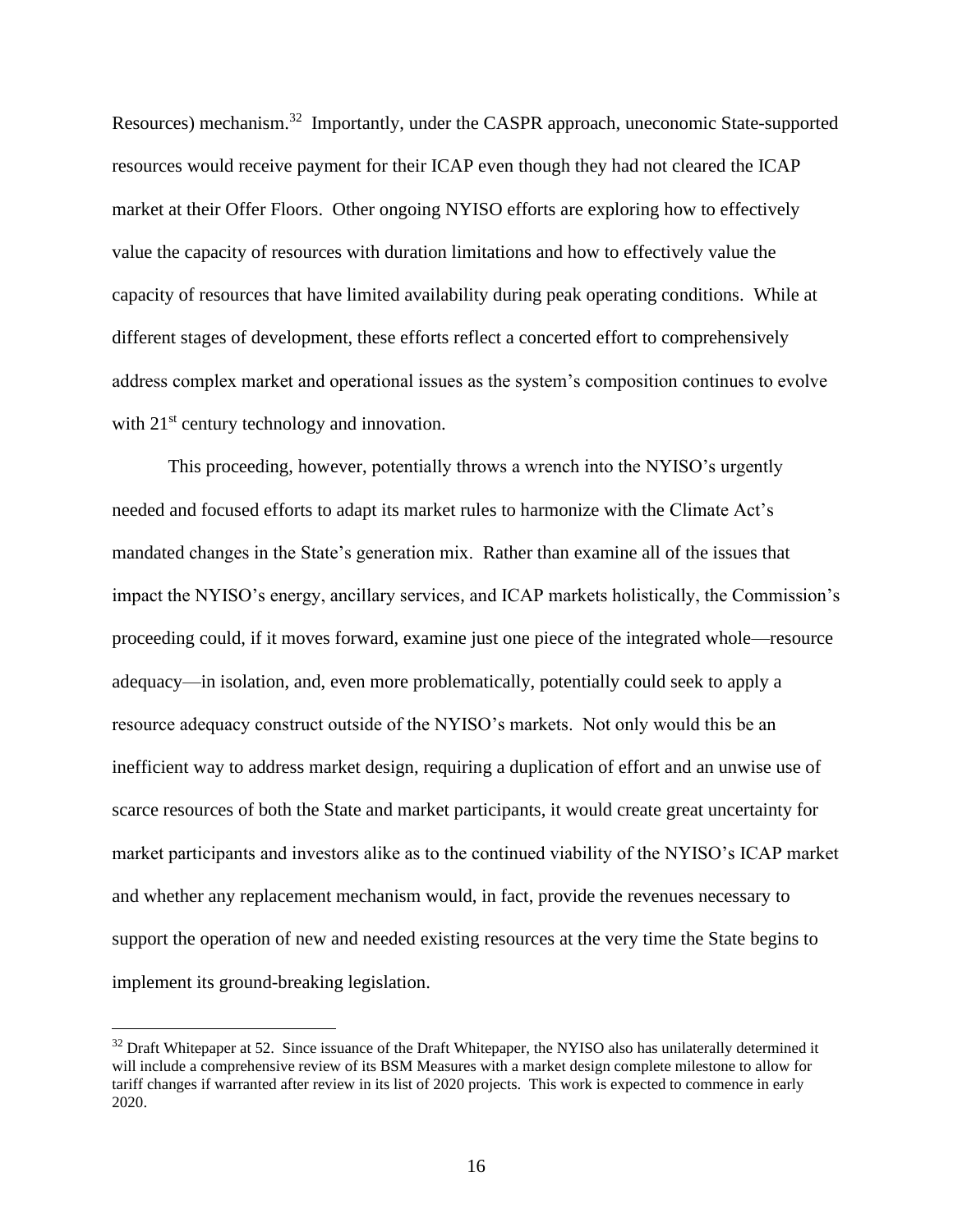Resources) mechanism.<sup>32</sup> Importantly, under the CASPR approach, uneconomic State-supported resources would receive payment for their ICAP even though they had not cleared the ICAP market at their Offer Floors. Other ongoing NYISO efforts are exploring how to effectively value the capacity of resources with duration limitations and how to effectively value the capacity of resources that have limited availability during peak operating conditions. While at different stages of development, these efforts reflect a concerted effort to comprehensively address complex market and operational issues as the system's composition continues to evolve with 21<sup>st</sup> century technology and innovation.

This proceeding, however, potentially throws a wrench into the NYISO's urgently needed and focused efforts to adapt its market rules to harmonize with the Climate Act's mandated changes in the State's generation mix. Rather than examine all of the issues that impact the NYISO's energy, ancillary services, and ICAP markets holistically, the Commission's proceeding could, if it moves forward, examine just one piece of the integrated whole—resource adequacy—in isolation, and, even more problematically, potentially could seek to apply a resource adequacy construct outside of the NYISO's markets. Not only would this be an inefficient way to address market design, requiring a duplication of effort and an unwise use of scarce resources of both the State and market participants, it would create great uncertainty for market participants and investors alike as to the continued viability of the NYISO's ICAP market and whether any replacement mechanism would, in fact, provide the revenues necessary to support the operation of new and needed existing resources at the very time the State begins to implement its ground-breaking legislation.

 $32$  Draft Whitepaper at 52. Since issuance of the Draft Whitepaper, the NYISO also has unilaterally determined it will include a comprehensive review of its BSM Measures with a market design complete milestone to allow for tariff changes if warranted after review in its list of 2020 projects. This work is expected to commence in early 2020.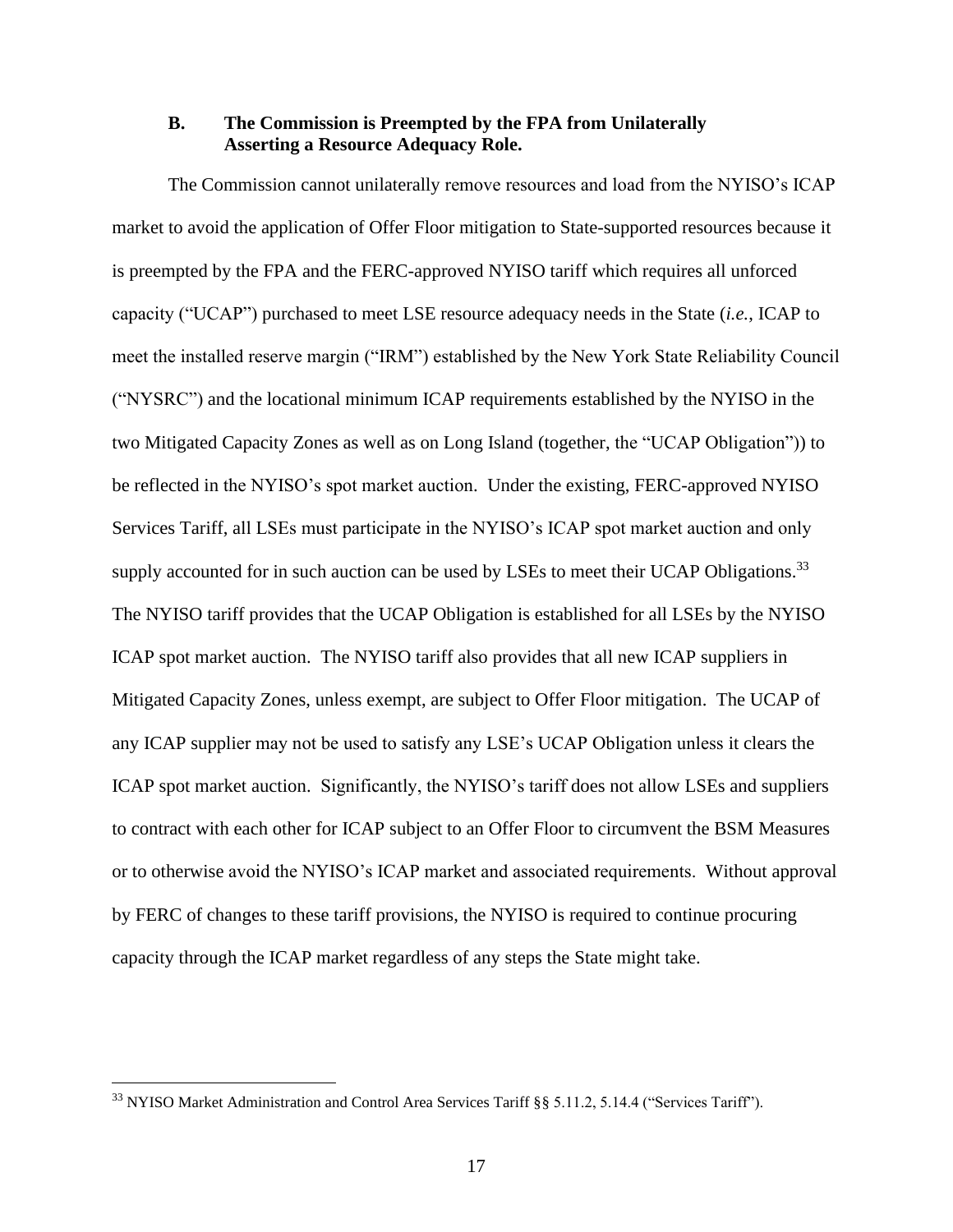#### **B. The Commission is Preempted by the FPA from Unilaterally Asserting a Resource Adequacy Role.**

The Commission cannot unilaterally remove resources and load from the NYISO's ICAP market to avoid the application of Offer Floor mitigation to State-supported resources because it is preempted by the FPA and the FERC-approved NYISO tariff which requires all unforced capacity ("UCAP") purchased to meet LSE resource adequacy needs in the State (*i.e.*, ICAP to meet the installed reserve margin ("IRM") established by the New York State Reliability Council ("NYSRC") and the locational minimum ICAP requirements established by the NYISO in the two Mitigated Capacity Zones as well as on Long Island (together, the "UCAP Obligation")) to be reflected in the NYISO's spot market auction. Under the existing, FERC-approved NYISO Services Tariff, all LSEs must participate in the NYISO's ICAP spot market auction and only supply accounted for in such auction can be used by LSEs to meet their UCAP Obligations.<sup>33</sup> The NYISO tariff provides that the UCAP Obligation is established for all LSEs by the NYISO ICAP spot market auction. The NYISO tariff also provides that all new ICAP suppliers in Mitigated Capacity Zones, unless exempt, are subject to Offer Floor mitigation. The UCAP of any ICAP supplier may not be used to satisfy any LSE's UCAP Obligation unless it clears the ICAP spot market auction. Significantly, the NYISO's tariff does not allow LSEs and suppliers to contract with each other for ICAP subject to an Offer Floor to circumvent the BSM Measures or to otherwise avoid the NYISO's ICAP market and associated requirements. Without approval by FERC of changes to these tariff provisions, the NYISO is required to continue procuring capacity through the ICAP market regardless of any steps the State might take.

<sup>&</sup>lt;sup>33</sup> NYISO Market Administration and Control Area Services Tariff §§ 5.11.2, 5.14.4 ("Services Tariff").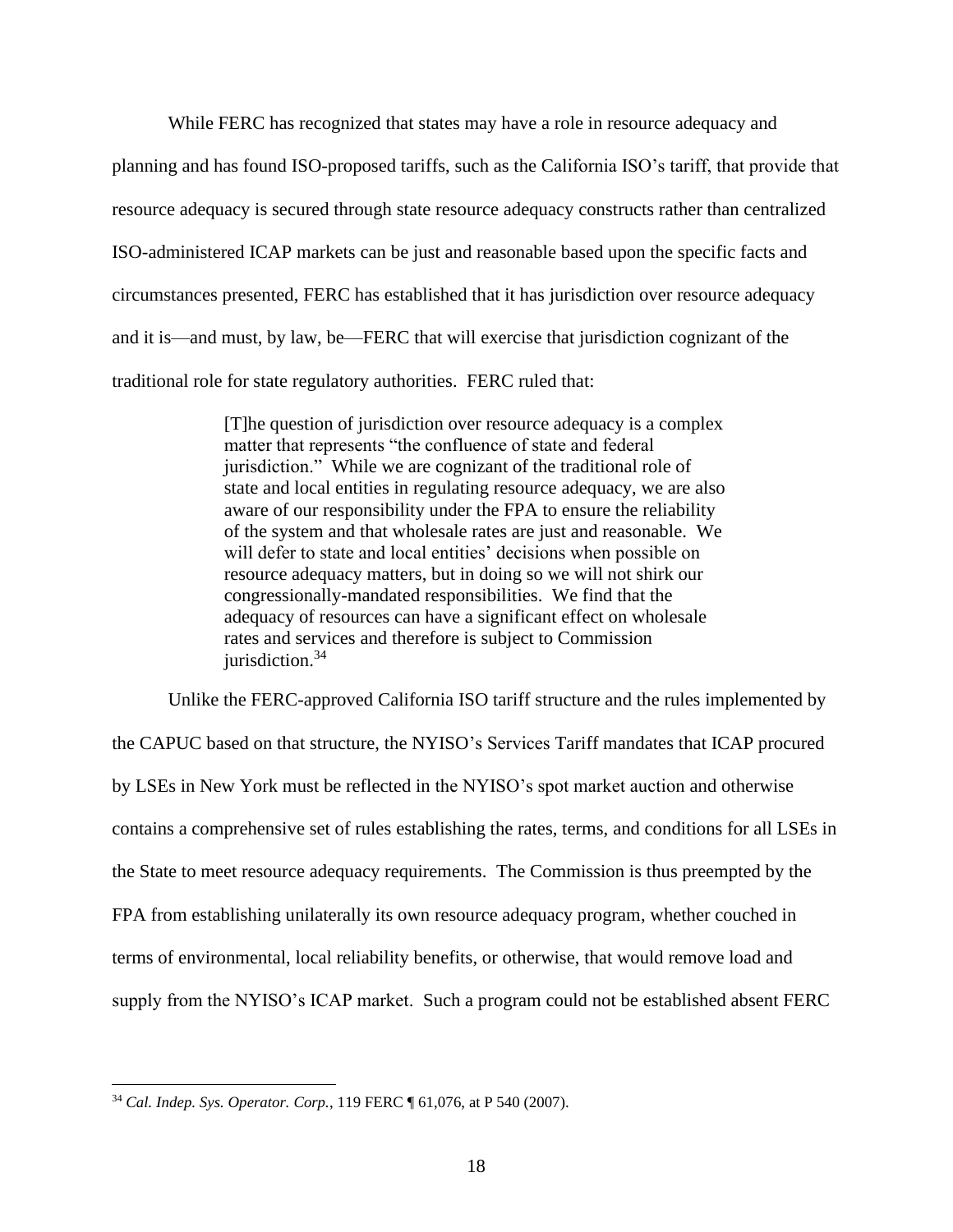While FERC has recognized that states may have a role in resource adequacy and planning and has found ISO-proposed tariffs, such as the California ISO's tariff, that provide that resource adequacy is secured through state resource adequacy constructs rather than centralized ISO-administered ICAP markets can be just and reasonable based upon the specific facts and circumstances presented, FERC has established that it has jurisdiction over resource adequacy and it is—and must, by law, be—FERC that will exercise that jurisdiction cognizant of the traditional role for state regulatory authorities. FERC ruled that:

> [T]he question of jurisdiction over resource adequacy is a complex matter that represents "the confluence of state and federal jurisdiction." While we are cognizant of the traditional role of state and local entities in regulating resource adequacy, we are also aware of our responsibility under the FPA to ensure the reliability of the system and that wholesale rates are just and reasonable. We will defer to state and local entities' decisions when possible on resource adequacy matters, but in doing so we will not shirk our congressionally-mandated responsibilities. We find that the adequacy of resources can have a significant effect on wholesale rates and services and therefore is subject to Commission  $i$ urisdiction.<sup>34</sup>

Unlike the FERC-approved California ISO tariff structure and the rules implemented by the CAPUC based on that structure, the NYISO's Services Tariff mandates that ICAP procured by LSEs in New York must be reflected in the NYISO's spot market auction and otherwise contains a comprehensive set of rules establishing the rates, terms, and conditions for all LSEs in the State to meet resource adequacy requirements. The Commission is thus preempted by the FPA from establishing unilaterally its own resource adequacy program, whether couched in terms of environmental, local reliability benefits, or otherwise, that would remove load and supply from the NYISO's ICAP market. Such a program could not be established absent FERC

<sup>34</sup> *Cal. Indep. Sys. Operator. Corp.*, 119 FERC ¶ 61,076, at P 540 (2007).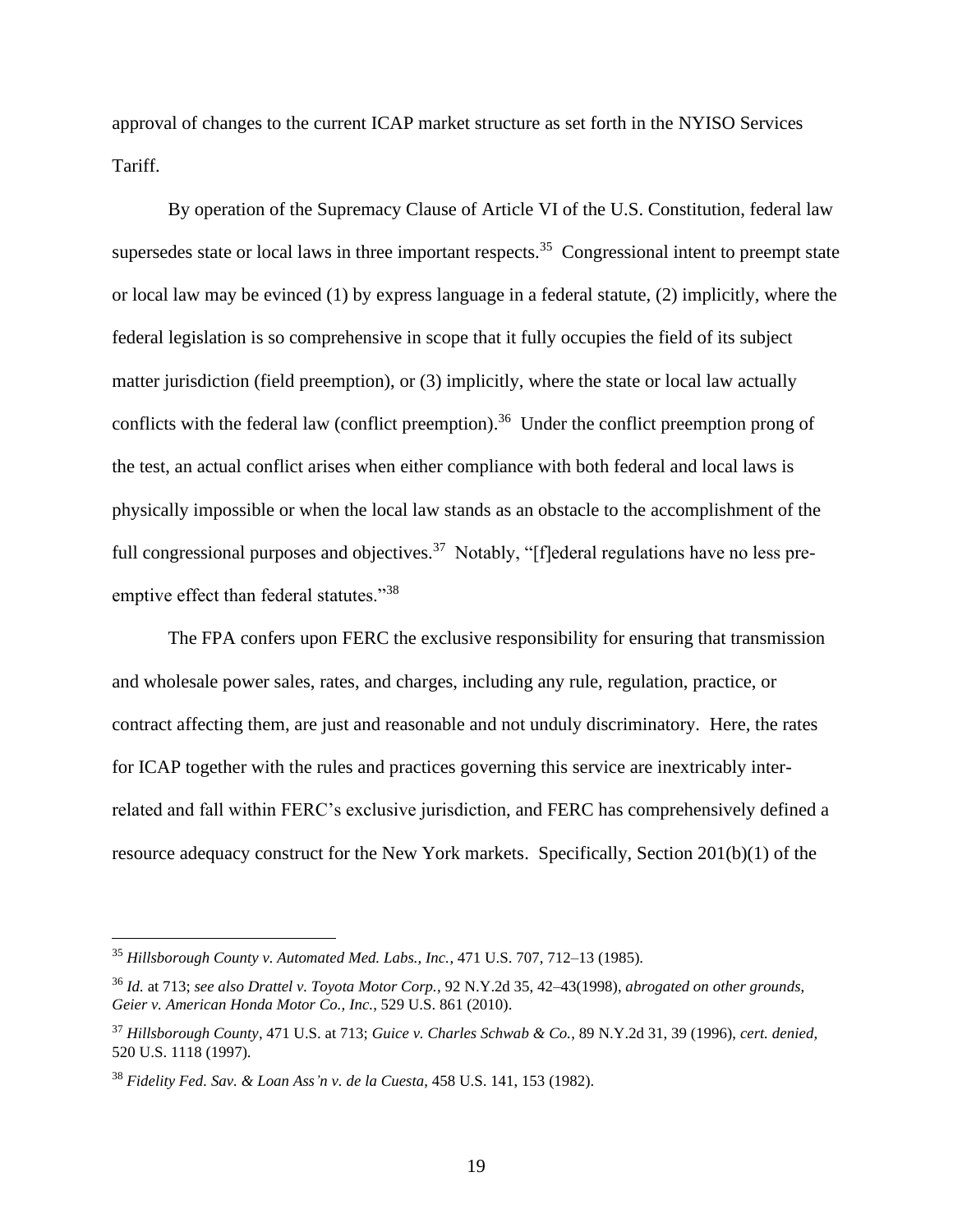approval of changes to the current ICAP market structure as set forth in the NYISO Services Tariff.

By operation of the Supremacy Clause of Article VI of the U.S. Constitution, federal law supersedes state or local laws in three important respects.<sup>35</sup> Congressional intent to preempt state or local law may be evinced (1) by express language in a federal statute, (2) implicitly, where the federal legislation is so comprehensive in scope that it fully occupies the field of its subject matter jurisdiction (field preemption), or (3) implicitly, where the state or local law actually conflicts with the federal law (conflict preemption).<sup>36</sup> Under the conflict preemption prong of the test, an actual conflict arises when either compliance with both federal and local laws is physically impossible or when the local law stands as an obstacle to the accomplishment of the full congressional purposes and objectives.<sup>37</sup> Notably, "[f]ederal regulations have no less preemptive effect than federal statutes."<sup>38</sup>

The FPA confers upon FERC the exclusive responsibility for ensuring that transmission and wholesale power sales, rates, and charges, including any rule, regulation, practice, or contract affecting them, are just and reasonable and not unduly discriminatory. Here, the rates for ICAP together with the rules and practices governing this service are inextricably interrelated and fall within FERC's exclusive jurisdiction, and FERC has comprehensively defined a resource adequacy construct for the New York markets. Specifically, Section 201(b)(1) of the

<sup>35</sup> *Hillsborough County v. Automated Med. Labs., Inc.*, 471 U.S. 707, 712–13 (1985).

<sup>36</sup> *Id.* at 713; *see also Drattel v. Toyota Motor Corp.*, 92 N.Y.2d 35, 42–43(1998), *abrogated on other grounds*, *Geier v. American Honda Motor Co., Inc.*, 529 U.S. 861 (2010).

<sup>37</sup> *Hillsborough County*, 471 U.S. at 713; *Guice v. Charles Schwab & Co.*, 89 N.Y.2d 31, 39 (1996), *cert. denied,*  520 U.S. 1118 (1997).

<sup>38</sup> *Fidelity Fed. Sav. & Loan Ass'n v. de la Cuesta*, 458 U.S. 141, 153 (1982).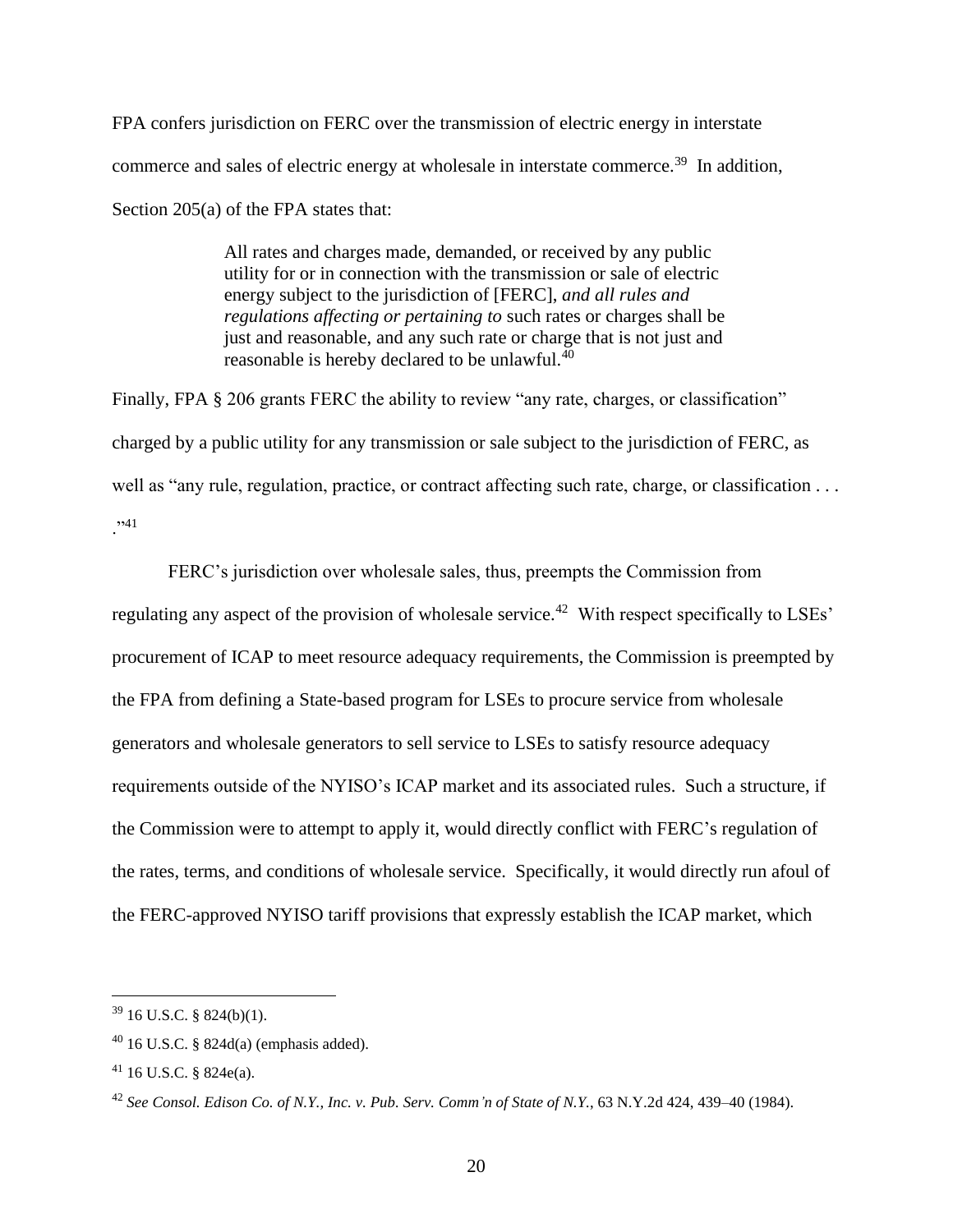FPA confers jurisdiction on FERC over the transmission of electric energy in interstate commerce and sales of electric energy at wholesale in interstate commerce.<sup>39</sup> In addition, Section 205(a) of the FPA states that:

> All rates and charges made, demanded, or received by any public utility for or in connection with the transmission or sale of electric energy subject to the jurisdiction of [FERC], *and all rules and regulations affecting or pertaining to* such rates or charges shall be just and reasonable, and any such rate or charge that is not just and reasonable is hereby declared to be unlawful.<sup>40</sup>

Finally, FPA § 206 grants FERC the ability to review "any rate, charges, or classification" charged by a public utility for any transmission or sale subject to the jurisdiction of FERC, as well as "any rule, regulation, practice, or contract affecting such rate, charge, or classification . . .  $, 41$ 

FERC's jurisdiction over wholesale sales, thus, preempts the Commission from regulating any aspect of the provision of wholesale service.<sup>42</sup> With respect specifically to LSEs' procurement of ICAP to meet resource adequacy requirements, the Commission is preempted by the FPA from defining a State-based program for LSEs to procure service from wholesale generators and wholesale generators to sell service to LSEs to satisfy resource adequacy requirements outside of the NYISO's ICAP market and its associated rules. Such a structure, if the Commission were to attempt to apply it, would directly conflict with FERC's regulation of the rates, terms, and conditions of wholesale service. Specifically, it would directly run afoul of the FERC-approved NYISO tariff provisions that expressly establish the ICAP market, which

 $39$  16 U.S.C. § 824(b)(1).

 $40$  16 U.S.C. § 824d(a) (emphasis added).

<sup>41</sup> 16 U.S.C. § 824e(a).

<sup>42</sup> *See Consol. Edison Co. of N.Y., Inc. v. Pub. Serv. Comm'n of State of N.Y.*, 63 N.Y.2d 424, 439–40 (1984).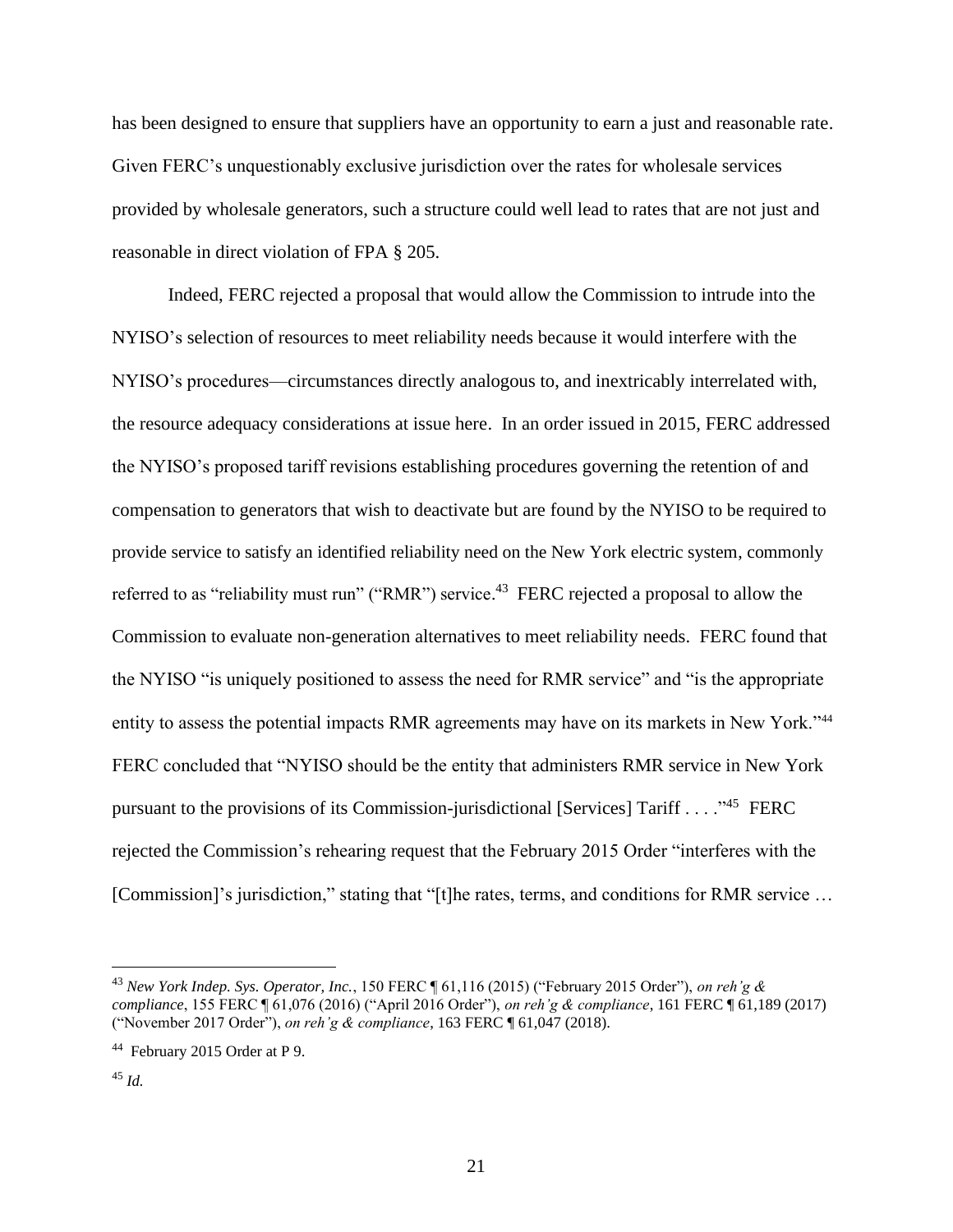has been designed to ensure that suppliers have an opportunity to earn a just and reasonable rate. Given FERC's unquestionably exclusive jurisdiction over the rates for wholesale services provided by wholesale generators, such a structure could well lead to rates that are not just and reasonable in direct violation of FPA § 205.

Indeed, FERC rejected a proposal that would allow the Commission to intrude into the NYISO's selection of resources to meet reliability needs because it would interfere with the NYISO's procedures—circumstances directly analogous to, and inextricably interrelated with, the resource adequacy considerations at issue here. In an order issued in 2015, FERC addressed the NYISO's proposed tariff revisions establishing procedures governing the retention of and compensation to generators that wish to deactivate but are found by the NYISO to be required to provide service to satisfy an identified reliability need on the New York electric system, commonly referred to as "reliability must run" ("RMR") service.<sup>43</sup> FERC rejected a proposal to allow the Commission to evaluate non-generation alternatives to meet reliability needs. FERC found that the NYISO "is uniquely positioned to assess the need for RMR service" and "is the appropriate entity to assess the potential impacts RMR agreements may have on its markets in New York."<sup>44</sup> FERC concluded that "NYISO should be the entity that administers RMR service in New York pursuant to the provisions of its Commission-jurisdictional [Services] Tariff . . . ."<sup>45</sup> FERC rejected the Commission's rehearing request that the February 2015 Order "interferes with the [Commission]'s jurisdiction," stating that "[t]he rates, terms, and conditions for RMR service ...

<sup>43</sup> *New York Indep. Sys. Operator, Inc.*, 150 FERC ¶ 61,116 (2015) ("February 2015 Order"), *on reh'g & compliance*, 155 FERC ¶ 61,076 (2016) ("April 2016 Order"), *on reh'g & compliance*, 161 FERC ¶ 61,189 (2017) ("November 2017 Order"), *on reh'g & compliance*, 163 FERC ¶ 61,047 (2018).

<sup>&</sup>lt;sup>44</sup> February 2015 Order at P 9.

<sup>45</sup> *Id.*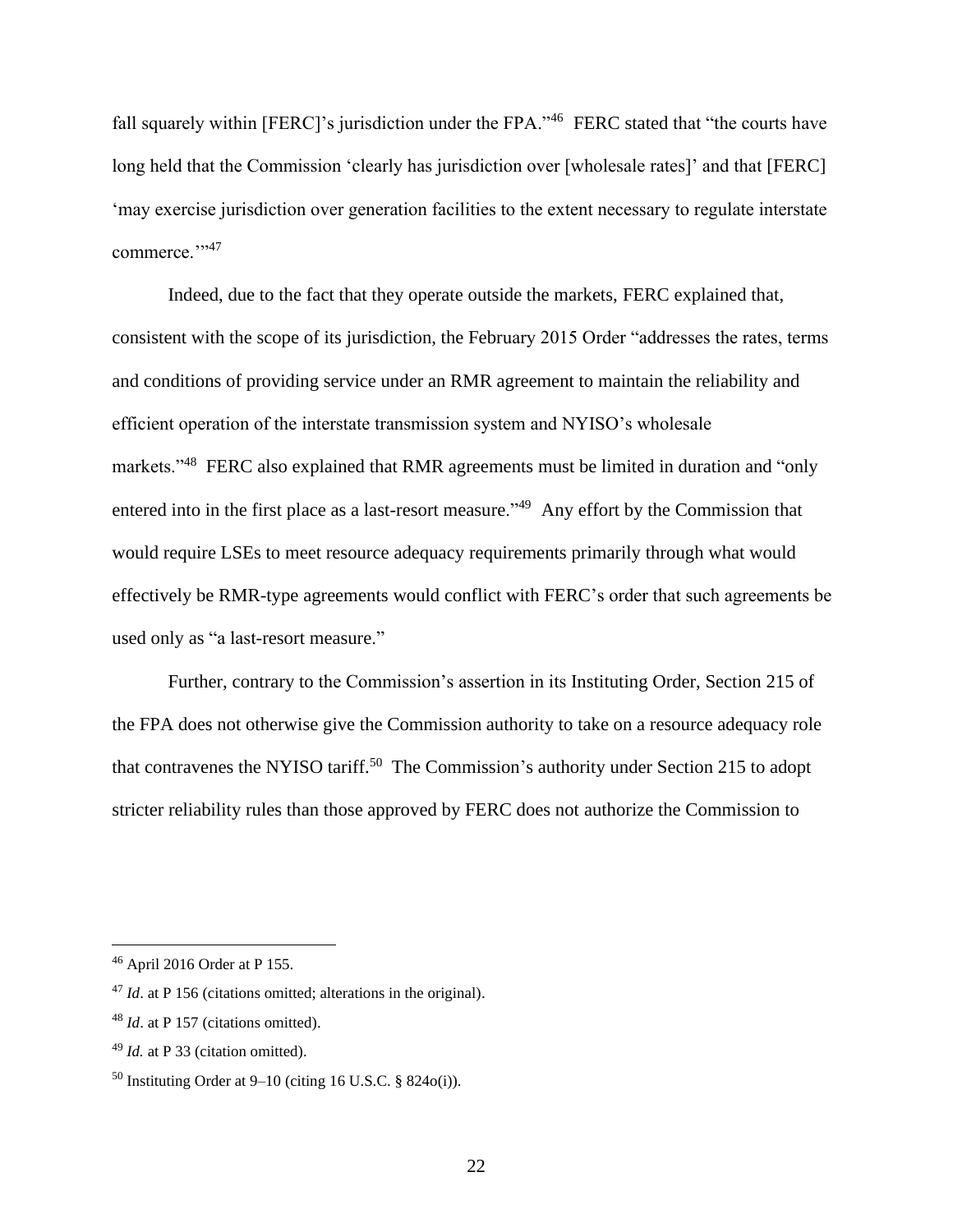fall squarely within [FERC]'s jurisdiction under the FPA."<sup>46</sup> FERC stated that "the courts have long held that the Commission 'clearly has jurisdiction over [wholesale rates]' and that [FERC] 'may exercise jurisdiction over generation facilities to the extent necessary to regulate interstate commerce."<sup>347</sup>

Indeed, due to the fact that they operate outside the markets, FERC explained that, consistent with the scope of its jurisdiction, the February 2015 Order "addresses the rates, terms and conditions of providing service under an RMR agreement to maintain the reliability and efficient operation of the interstate transmission system and NYISO's wholesale markets."<sup>48</sup> FERC also explained that RMR agreements must be limited in duration and "only" entered into in the first place as a last-resort measure."<sup>49</sup> Any effort by the Commission that would require LSEs to meet resource adequacy requirements primarily through what would effectively be RMR-type agreements would conflict with FERC's order that such agreements be used only as "a last-resort measure."

Further, contrary to the Commission's assertion in its Instituting Order, Section 215 of the FPA does not otherwise give the Commission authority to take on a resource adequacy role that contravenes the NYISO tariff.<sup>50</sup> The Commission's authority under Section 215 to adopt stricter reliability rules than those approved by FERC does not authorize the Commission to

<sup>46</sup> April 2016 Order at P 155.

<sup>47</sup> *Id*. at P 156 (citations omitted; alterations in the original).

<sup>48</sup> *Id*. at P 157 (citations omitted).

<sup>49</sup> *Id.* at P 33 (citation omitted).

<sup>&</sup>lt;sup>50</sup> Instituting Order at  $9-10$  (citing 16 U.S.C. § 824 $o(i)$ ).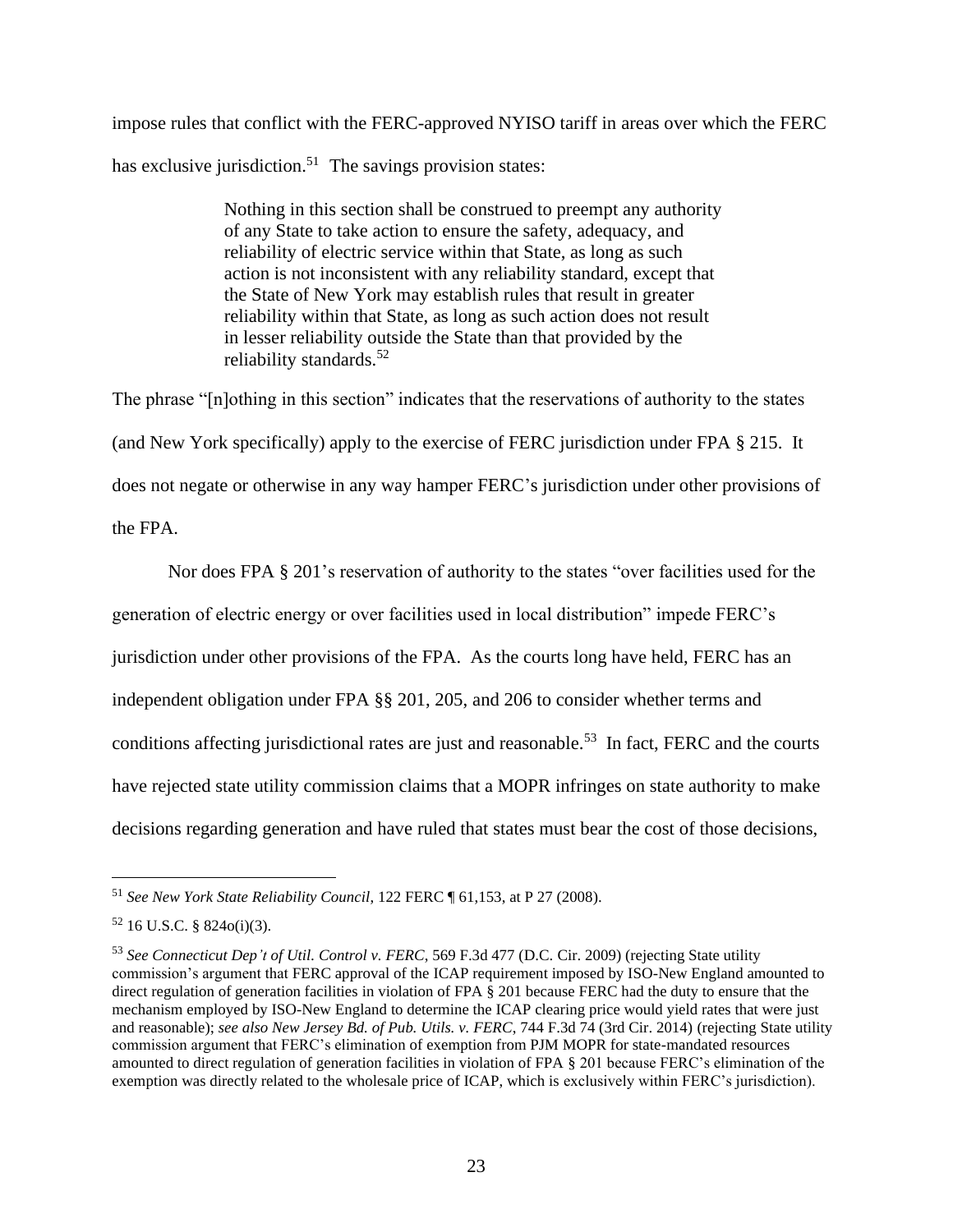impose rules that conflict with the FERC-approved NYISO tariff in areas over which the FERC has exclusive jurisdiction.<sup>51</sup> The savings provision states:

> Nothing in this section shall be construed to preempt any authority of any State to take action to ensure the safety, adequacy, and reliability of electric service within that State, as long as such action is not inconsistent with any reliability standard, except that the State of New York may establish rules that result in greater reliability within that State, as long as such action does not result in lesser reliability outside the State than that provided by the reliability standards. $52$

The phrase "[n]othing in this section" indicates that the reservations of authority to the states (and New York specifically) apply to the exercise of FERC jurisdiction under FPA § 215. It does not negate or otherwise in any way hamper FERC's jurisdiction under other provisions of the FPA.

Nor does FPA § 201's reservation of authority to the states "over facilities used for the generation of electric energy or over facilities used in local distribution" impede FERC's jurisdiction under other provisions of the FPA. As the courts long have held, FERC has an independent obligation under FPA §§ 201, 205, and 206 to consider whether terms and conditions affecting jurisdictional rates are just and reasonable.<sup>53</sup> In fact, FERC and the courts have rejected state utility commission claims that a MOPR infringes on state authority to make decisions regarding generation and have ruled that states must bear the cost of those decisions,

<sup>51</sup> *See New York State Reliability Council*, 122 FERC ¶ 61,153, at P 27 (2008).

 $52$  16 U.S.C. § 824o(i)(3).

<sup>53</sup> *See Connecticut Dep't of Util. Control v. FERC*, 569 F.3d 477 (D.C. Cir. 2009) (rejecting State utility commission's argument that FERC approval of the ICAP requirement imposed by ISO-New England amounted to direct regulation of generation facilities in violation of FPA § 201 because FERC had the duty to ensure that the mechanism employed by ISO-New England to determine the ICAP clearing price would yield rates that were just and reasonable); *see also New Jersey Bd. of Pub. Utils. v. FERC*, 744 F.3d 74 (3rd Cir. 2014) (rejecting State utility commission argument that FERC's elimination of exemption from PJM MOPR for state-mandated resources amounted to direct regulation of generation facilities in violation of FPA § 201 because FERC's elimination of the exemption was directly related to the wholesale price of ICAP, which is exclusively within FERC's jurisdiction).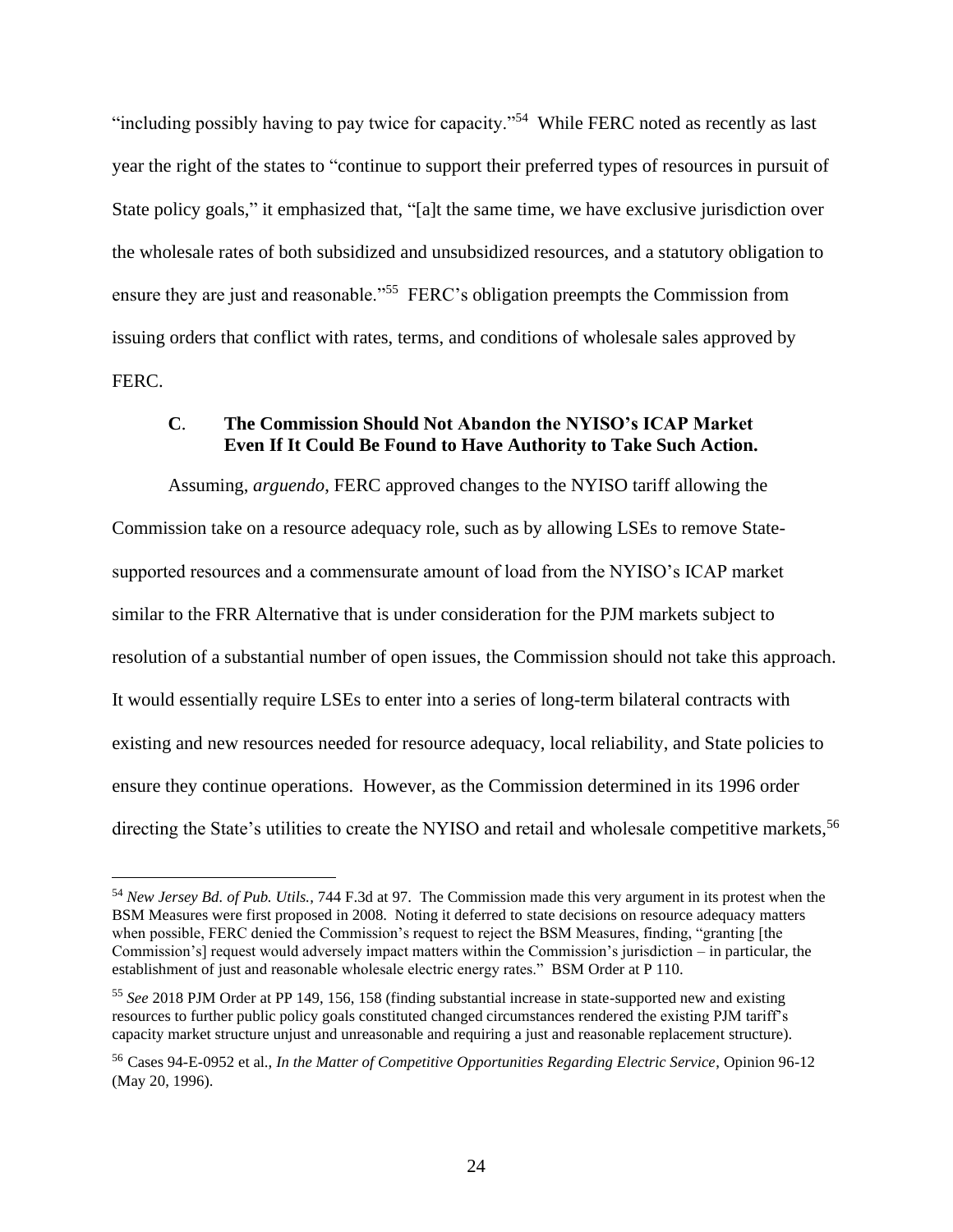"including possibly having to pay twice for capacity."<sup>54</sup> While FERC noted as recently as last year the right of the states to "continue to support their preferred types of resources in pursuit of State policy goals," it emphasized that, "[a]t the same time, we have exclusive jurisdiction over the wholesale rates of both subsidized and unsubsidized resources, and a statutory obligation to ensure they are just and reasonable."<sup>55</sup> FERC's obligation preempts the Commission from issuing orders that conflict with rates, terms, and conditions of wholesale sales approved by FERC.

### **C**. **The Commission Should Not Abandon the NYISO's ICAP Market Even If It Could Be Found to Have Authority to Take Such Action.**

Assuming, *arguendo*, FERC approved changes to the NYISO tariff allowing the Commission take on a resource adequacy role, such as by allowing LSEs to remove Statesupported resources and a commensurate amount of load from the NYISO's ICAP market similar to the FRR Alternative that is under consideration for the PJM markets subject to resolution of a substantial number of open issues, the Commission should not take this approach. It would essentially require LSEs to enter into a series of long-term bilateral contracts with existing and new resources needed for resource adequacy, local reliability, and State policies to ensure they continue operations. However, as the Commission determined in its 1996 order directing the State's utilities to create the NYISO and retail and wholesale competitive markets.<sup>56</sup>

<sup>54</sup> *New Jersey Bd. of Pub. Utils.*, 744 F.3d at 97. The Commission made this very argument in its protest when the BSM Measures were first proposed in 2008. Noting it deferred to state decisions on resource adequacy matters when possible, FERC denied the Commission's request to reject the BSM Measures, finding, "granting [the Commission's] request would adversely impact matters within the Commission's jurisdiction – in particular, the establishment of just and reasonable wholesale electric energy rates." BSM Order at P 110.

<sup>55</sup> *See* 2018 PJM Order at PP 149, 156, 158 (finding substantial increase in state-supported new and existing resources to further public policy goals constituted changed circumstances rendered the existing PJM tariff's capacity market structure unjust and unreasonable and requiring a just and reasonable replacement structure).

<sup>56</sup> Cases 94-E-0952 et al., *In the Matter of Competitive Opportunities Regarding Electric Service*, Opinion 96-12 (May 20, 1996).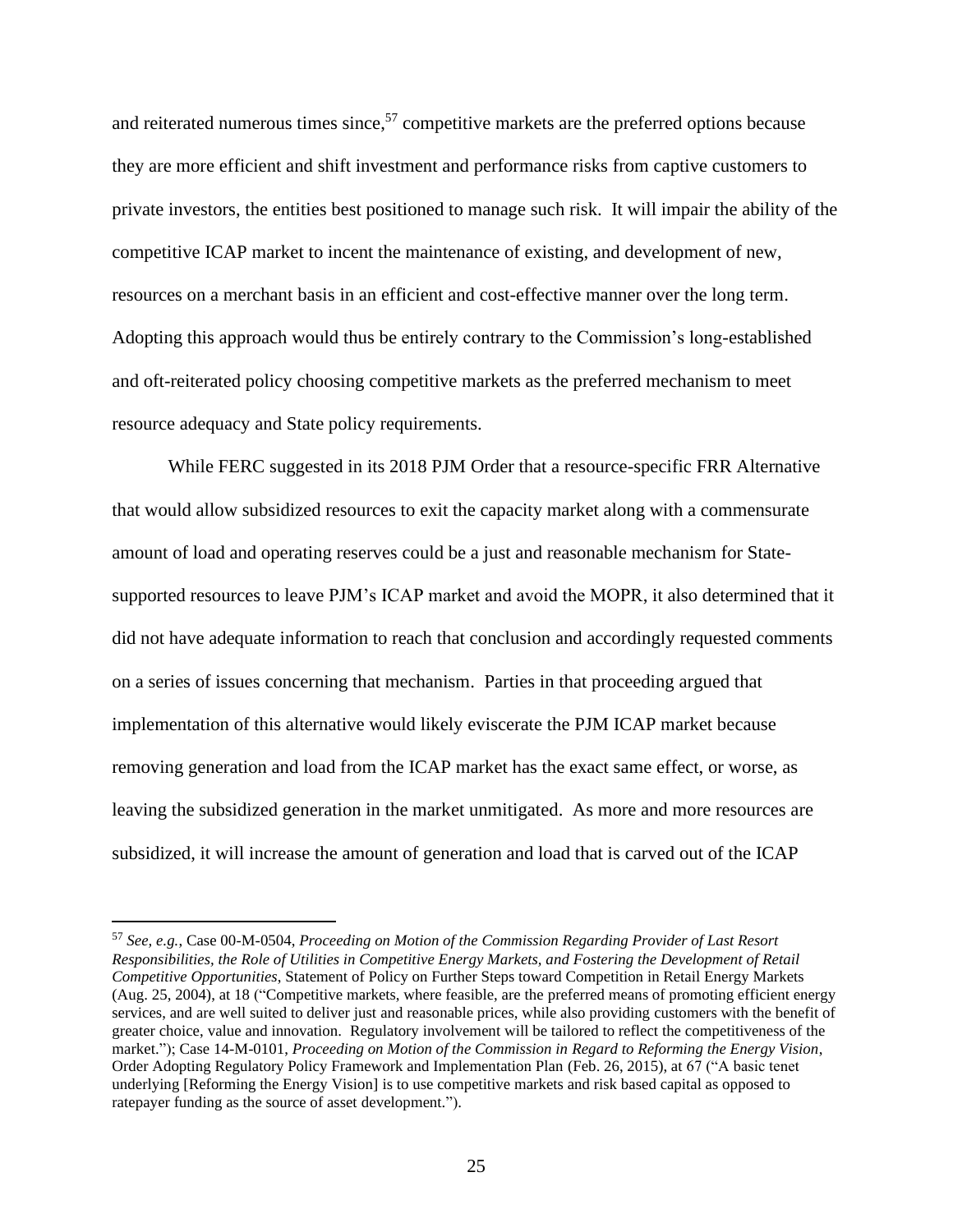and reiterated numerous times since,<sup>57</sup> competitive markets are the preferred options because they are more efficient and shift investment and performance risks from captive customers to private investors, the entities best positioned to manage such risk. It will impair the ability of the competitive ICAP market to incent the maintenance of existing, and development of new, resources on a merchant basis in an efficient and cost-effective manner over the long term. Adopting this approach would thus be entirely contrary to the Commission's long-established and oft-reiterated policy choosing competitive markets as the preferred mechanism to meet resource adequacy and State policy requirements.

While FERC suggested in its 2018 PJM Order that a resource-specific FRR Alternative that would allow subsidized resources to exit the capacity market along with a commensurate amount of load and operating reserves could be a just and reasonable mechanism for Statesupported resources to leave PJM's ICAP market and avoid the MOPR, it also determined that it did not have adequate information to reach that conclusion and accordingly requested comments on a series of issues concerning that mechanism. Parties in that proceeding argued that implementation of this alternative would likely eviscerate the PJM ICAP market because removing generation and load from the ICAP market has the exact same effect, or worse, as leaving the subsidized generation in the market unmitigated. As more and more resources are subsidized, it will increase the amount of generation and load that is carved out of the ICAP

<sup>57</sup> *See, e.g.*, Case 00-M-0504, *Proceeding on Motion of the Commission Regarding Provider of Last Resort Responsibilities, the Role of Utilities in Competitive Energy Markets, and Fostering the Development of Retail Competitive Opportunities*, Statement of Policy on Further Steps toward Competition in Retail Energy Markets (Aug. 25, 2004), at 18 ("Competitive markets, where feasible, are the preferred means of promoting efficient energy services, and are well suited to deliver just and reasonable prices, while also providing customers with the benefit of greater choice, value and innovation. Regulatory involvement will be tailored to reflect the competitiveness of the market."); Case 14-M-0101, *Proceeding on Motion of the Commission in Regard to Reforming the Energy Vision*, Order Adopting Regulatory Policy Framework and Implementation Plan (Feb. 26, 2015), at 67 ("A basic tenet underlying [Reforming the Energy Vision] is to use competitive markets and risk based capital as opposed to ratepayer funding as the source of asset development.").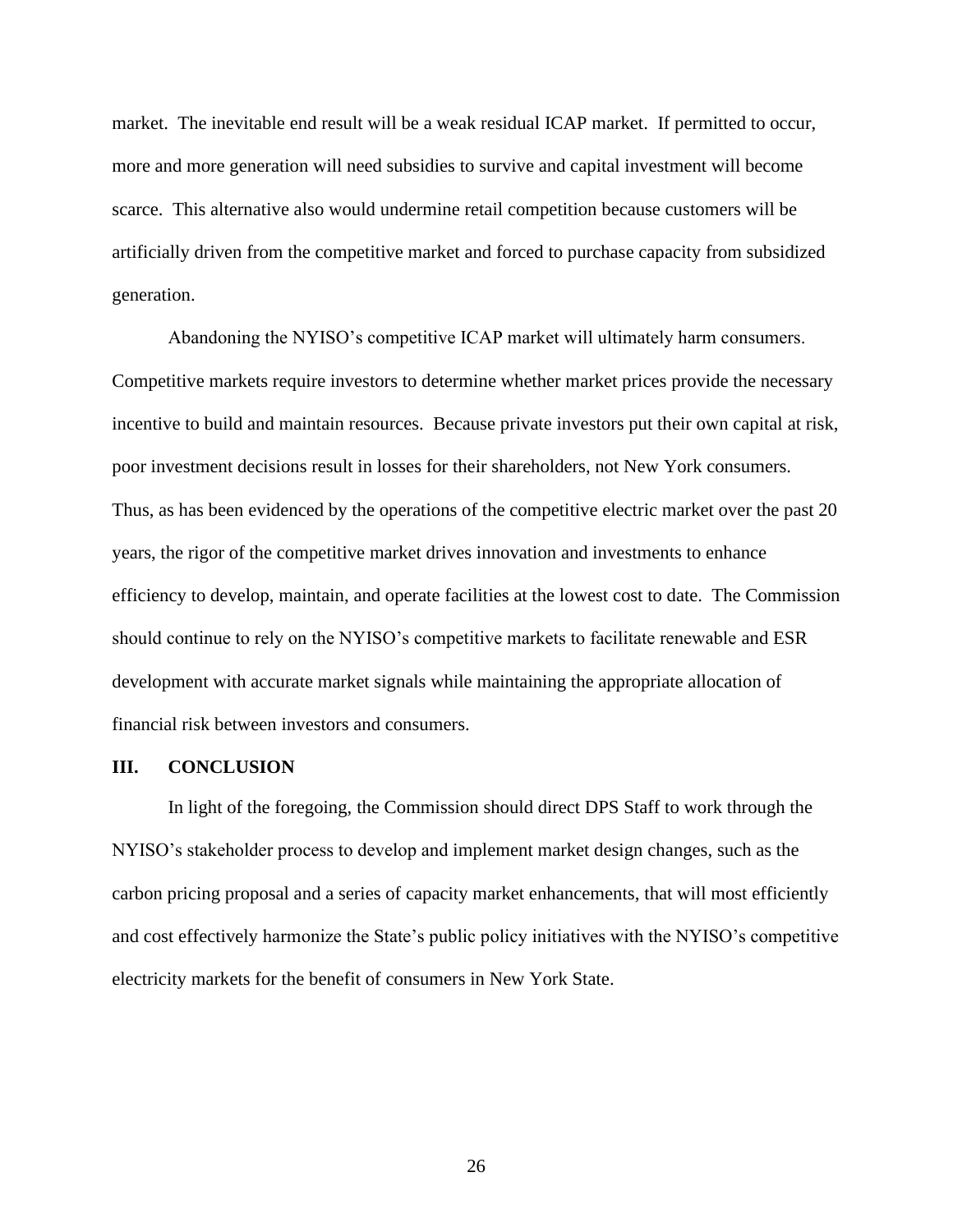market. The inevitable end result will be a weak residual ICAP market. If permitted to occur, more and more generation will need subsidies to survive and capital investment will become scarce. This alternative also would undermine retail competition because customers will be artificially driven from the competitive market and forced to purchase capacity from subsidized generation.

Abandoning the NYISO's competitive ICAP market will ultimately harm consumers. Competitive markets require investors to determine whether market prices provide the necessary incentive to build and maintain resources. Because private investors put their own capital at risk, poor investment decisions result in losses for their shareholders, not New York consumers. Thus, as has been evidenced by the operations of the competitive electric market over the past 20 years, the rigor of the competitive market drives innovation and investments to enhance efficiency to develop, maintain, and operate facilities at the lowest cost to date. The Commission should continue to rely on the NYISO's competitive markets to facilitate renewable and ESR development with accurate market signals while maintaining the appropriate allocation of financial risk between investors and consumers.

#### **III. CONCLUSION**

In light of the foregoing, the Commission should direct DPS Staff to work through the NYISO's stakeholder process to develop and implement market design changes, such as the carbon pricing proposal and a series of capacity market enhancements, that will most efficiently and cost effectively harmonize the State's public policy initiatives with the NYISO's competitive electricity markets for the benefit of consumers in New York State.

26